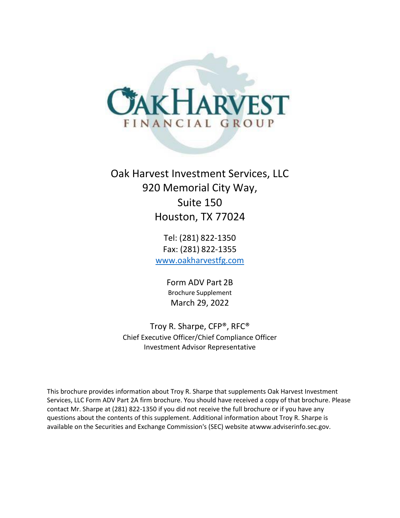

# Oak Harvest Investment Services, LLC 920 Memorial City Way, Suite 150 Houston, TX 77024

Tel: (281) 822-1350 Fax: (281) 822-1355 [www.oakharvestfg.com](http://www.oakharvestfg.com/)

> Form ADV Part 2B Brochure Supplement March 29, 2022

Troy R. Sharpe, CFP®, RFC® Chief Executive Officer/Chief Compliance Officer Investment Advisor Representative

This brochure provides information about Troy R. Sharpe that supplements Oak Harvest Investment Services, LLC Form ADV Part 2A firm brochure. You should have received a copy of that brochure. Please contact Mr. Sharpe at (281) 822-1350 if you did not receive the full brochure or if you have any questions about the contents of this supplement. Additional information about Troy R. Sharpe is available on the Securities and Exchange Commission's (SEC) website a[twww.adviserinfo.sec.gov.](http://www.adviserinfo.sec.gov/)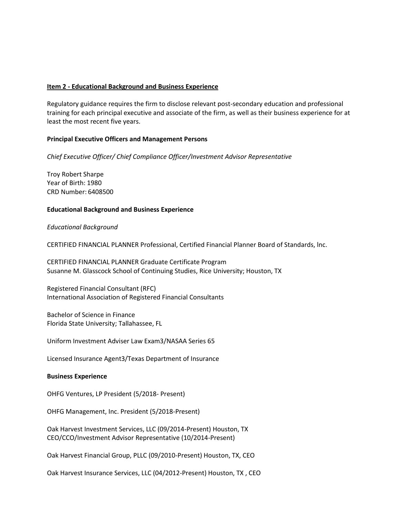Regulatory guidance requires the firm to disclose relevant post-secondary education and professional training for each principal executive and associate of the firm, as well as their business experience for at least the most recent five years.

#### **Principal Executive Officers and Management Persons**

*Chief Executive Officer/ Chief Compliance Officer/Investment Advisor Representative*

Troy Robert Sharpe Year of Birth: 1980 CRD Number: 6408500

#### **Educational Background and Business Experience**

#### *Educational Background*

CERTIFIED FINANCIAL PLANNER Professional, Certified Financial Planner Board of Standards, lnc.

CERTIFIED FINANCIAL PLANNER Graduate Certificate Program Susanne M. Glasscock School of Continuing Studies, Rice University; Houston, TX

Registered Financial Consultant (RFC) International Association of Registered Financial Consultants

Bachelor of Science in Finance Florida State University; Tallahassee, FL

Uniform Investment Adviser Law Exam3/NASAA Series 65

Licensed Insurance Agent3/Texas Department of Insurance

#### **Business Experience**

OHFG Ventures, LP President (5/2018- Present)

OHFG Management, Inc. President (5/2018-Present)

Oak Harvest Investment Services, LLC (09/2014-Present) Houston, TX CEO/CCO/Investment Advisor Representative (10/2014-Present)

Oak Harvest Financial Group, PLLC (09/2010-Present) Houston, TX, CEO

Oak Harvest Insurance Services, LLC (04/2012-Present) Houston, TX , CEO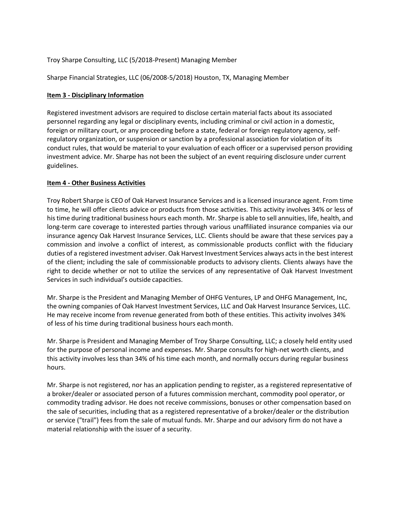#### Troy Sharpe Consulting, LLC (5/2018-Present) Managing Member

Sharpe Financial Strategies, LLC (06/2008-5/2018) Houston, TX, Managing Member

#### **Item 3 - Disciplinary Information**

Registered investment advisors are required to disclose certain material facts about its associated personnel regarding any legal or disciplinary events, including criminal or civil action in a domestic, foreign or military court, or any proceeding before a state, federal or foreign regulatory agency, selfregulatory organization, or suspension or sanction by a professional association for violation of its conduct rules, that would be material to your evaluation of each officer or a supervised person providing investment advice. Mr. Sharpe has not been the subject of an event requiring disclosure under current guidelines.

#### **Item 4 - Other Business Activities**

Troy Robert Sharpe is CEO of Oak Harvest Insurance Services and is a licensed insurance agent. From time to time, he will offer clients advice or products from those activities. This activity involves 34% or less of histime during traditional business hours each month. Mr. Sharpe is able to sell annuities, life, health, and long-term care coverage to interested parties through various unaffiliated insurance companies via our insurance agency Oak Harvest Insurance Services, LLC. Clients should be aware that these services pay a commission and involve a conflict of interest, as commissionable products conflict with the fiduciary duties of a registered investment adviser. Oak Harvest Investment Services always actsin the best interest of the client; including the sale of commissionable products to advisory clients. Clients always have the right to decide whether or not to utilize the services of any representative of Oak Harvest Investment Services in such individual's outside capacities.

Mr. Sharpe is the President and Managing Member of OHFG Ventures, LP and OHFG Management, Inc, the owning companies of Oak Harvest Investment Services, LLC and Oak Harvest Insurance Services, LLC. He may receive income from revenue generated from both of these entities. This activity involves 34% of less of his time during traditional business hours each month.

Mr. Sharpe is President and Managing Member of Troy Sharpe Consulting, LLC; a closely held entity used for the purpose of personal income and expenses. Mr. Sharpe consults for high-net worth clients, and this activity involves less than 34% of his time each month, and normally occurs during regular business hours.

Mr. Sharpe is not registered, nor has an application pending to register, as a registered representative of a broker/dealer or associated person of a futures commission merchant, commodity pool operator, or commodity trading advisor. He does not receive commissions, bonuses or other compensation based on the sale of securities, including that as a registered representative of a broker/dealer or the distribution or service ("trail") fees from the sale of mutual funds. Mr. Sharpe and our advisory firm do not have a material relationship with the issuer of a security.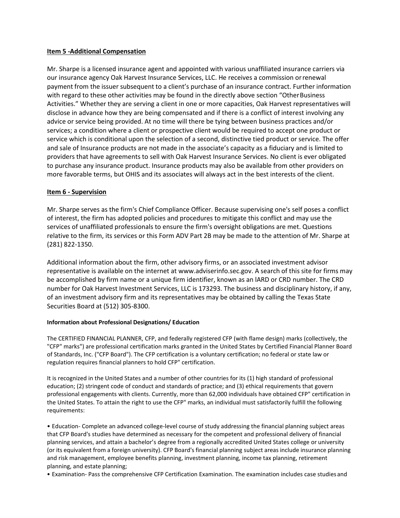#### **Item 5 -Additional Compensation**

Mr. Sharpe is a licensed insurance agent and appointed with various unaffiliated insurance carriers via our insurance agency Oak Harvest Insurance Services, LLC. He receives a commission orrenewal payment from the issuer subsequent to a client's purchase of an insurance contract. Further information with regard to these other activities may be found in the directly above section "Other Business" Activities." Whether they are serving a client in one or more capacities, Oak Harvest representatives will disclose in advance how they are being compensated and if there is a conflict of interest involving any advice or service being provided. At no time will there be tying between business practices and/or services; a condition where a client or prospective client would be required to accept one product or service which is conditional upon the selection of a second, distinctive tied product or service. The offer and sale of Insurance products are not made in the associate's capacity as a fiduciary and is limited to providers that have agreements to sell with Oak Harvest Insurance Services. No client is ever obligated to purchase any insurance product. Insurance products may also be available from other providers on more favorable terms, but OHIS and its associates will always act in the best interests of the client.

#### **Item 6 - Supervision**

Mr. Sharpe serves as the firm's Chief Compliance Officer. Because supervising one's self poses a conflict of interest, the firm has adopted policies and procedures to mitigate this conflict and may use the services of unaffiliated professionals to ensure the firm's oversight obligations are met. Questions relative to the firm, its services or this Form ADV Part 2B may be made to the attention of Mr. Sharpe at (281) 822-1350.

Additional information about the firm, other advisory firms, or an associated investment advisor representative is available on the internet at [www.adviserinfo.sec.gov. A](http://www.adviserinfo.sec.gov/) search of this site for firms may be accomplished by firm name or a unique firm identifier, known as an lARD or CRD number. The CRD number for Oak Harvest Investment Services, LLC is 173293. The business and disciplinary history, if any, of an investment advisory firm and its representatives may be obtained by calling the Texas State Securities Board at (512) 305-8300.

#### **Information about Professional Designations/ Education**

The CERTIFIED FINANCIAL PLANNER, CFP, and federally registered CFP (with flame design) marks (collectively, the "CFP" marks") are professional certification marks granted in the United States by Certified Financial Planner Board of Standards, Inc. ("CFP Board"). The CFP certification is a voluntary certification; no federal or state law or regulation requires financial planners to hold CFP" certification.

It is recognized in the United States and a number of other countries for its (1) high standard of professional education; (2) stringent code of conduct and standards of practice; and (3) ethical requirements that govern professional engagements with clients. Currently, more than 62,000 individuals have obtained CFP" certification in the United States. To attain the right to use the CFP" marks, an individual must satisfactorily fulfill the following requirements:

• Education- Complete an advanced college-level course of study addressing the financial planning subject areas that CFP Board's studies have determined as necessary for the competent and professional delivery of financial planning services, and attain a bachelor's degree from a regionally accredited United States college or university (or its equivalent from a foreign university). CFP Board's financial planning subject areas include insurance planning and risk management, employee benefits planning, investment planning, income tax planning, retirement planning, and estate planning;

• Examination- Pass the comprehensive CFP Certification Examination. The examination includes case studies and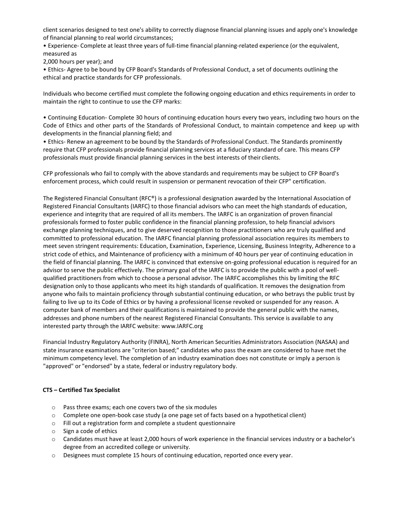client scenarios designed to test one's ability to correctly diagnose financial planning issues and apply one's knowledge of financial planning to real world circumstances;

• Experience- Complete at least three years of full-time financial planning-related experience (or the equivalent, measured as

2,000 hours per year); and

• Ethics- Agree to be bound by CFP Board's Standards of Professional Conduct, a set of documents outlining the ethical and practice standards for CFP professionals.

Individuals who become certified must complete the following ongoing education and ethics requirements in order to maintain the right to continue to use the CFP marks:

• Continuing Education- Complete 30 hours of continuing education hours every two years, including two hours on the Code of Ethics and other parts of the Standards of Professional Conduct, to maintain competence and keep up with developments in the financial planning field; and

• Ethics- Renew an agreement to be bound by the Standards of Professional Conduct. The Standards prominently require that CFP professionals provide financial planning services at a fiduciary standard of care. This means CFP professionals must provide financial planning services in the best interests of their clients.

CFP professionals who fail to comply with the above standards and requirements may be subject to CFP Board's enforcement process, which could result in suspension or permanent revocation of their CFP" certification.

The Registered Financial Consultant (RFC®) is a professional designation awarded by the International Association of Registered Financial Consultants (IARFC) to those financial advisors who can meet the high standards of education, experience and integrity that are required of all its members. The IARFC is an organization of proven financial professionals formed to foster public confidence in the financial planning profession, to help financial advisors exchange planning techniques, and to give deserved recognition to those practitioners who are truly qualified and committed to professional education. The IARFC financial planning professional association requires its members to meet seven stringent requirements: Education, Examination, Experience, Licensing, Business Integrity, Adherence to a strict code of ethics, and Maintenance of proficiency with a minimum of 40 hours per year of continuing education in the field of financial planning. The IARFC is convinced that extensive on-going professional education is required for an advisor to serve the public effectively. The primary goal of the IARFC is to provide the public with a pool of wellqualified practitioners from which to choose a personal advisor. The IARFC accomplishes this by limiting the RFC designation only to those applicants who meet its high standards of qualification. It removes the designation from anyone who fails to maintain proficiency through substantial continuing education, or who betrays the public trust by failing to live up to its Code of Ethics or by having a professional license revoked or suspended for any reason. A computer bank of members and their qualifications is maintained to provide the general public with the names, addresses and phone numbers of the nearest Registered Financial Consultants. This service is available to any interested party through the IARFC website: [www.IARFC.org](http://www.iarfc.org/)

Financial Industry Regulatory Authority (FINRA), North American Securities Administrators Association (NASAA) and state insurance examinations are "criterion based;" candidates who pass the exam are considered to have met the minimum competency level. The completion of an industry examination does not constitute or imply a person is "approved" or "endorsed" by a state, federal or industry regulatory body.

#### **CTS – Certified Tax Specialist**

- o Pass three exams; each one covers two of the six modules
- $\circ$  Complete one open-book case study (a one page set of facts based on a hypothetical client)
- o Fill out a registration form and complete a student questionnaire
- o Sign a code of ethics
- o Candidates must have at least 2,000 hours of work experience in the financial services industry or a bachelor's degree from an accredited college or university.
- o Designees must complete 15 hours of continuing education, reported once every year.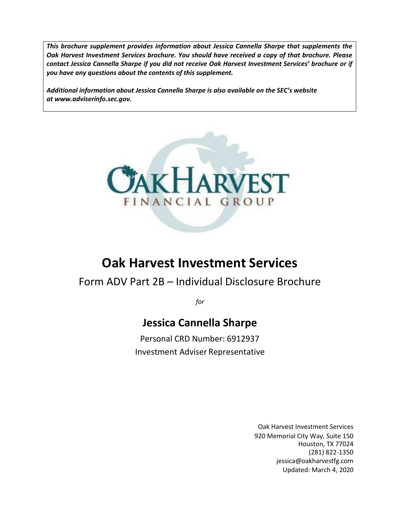*This brochure supplement provides information about Jessica Cannella Sharpe that supplements the Oak Harvest Investment Services brochure. You should have received a copy of that brochure. Please contact Jessica Cannella Sharpe if you did not receive Oak Harvest Investment Services' brochure or if you have any questions about the contents of this supplement.*

*Additional information about Jessica Cannella Sharpe is also available on the SEC's website a[t www.adviserinfo.sec.gov.](http://www.adviserinfo.sec.gov/)*



# **Oak Harvest Investment Services**

## Form ADV Part 2B – Individual Disclosure Brochure

*for*

## **Jessica Cannella Sharpe**

Personal CRD Number: 6912937 Investment Adviser Representative

> Oak Harvest Investment Services 920 Memorial City Way, Suite 150 Houston, TX 77024 (281) 822-1350 [jessica@oakharvestfg.com](mailto:jessica@oakharvestfg.com) Updated: March 4, 2020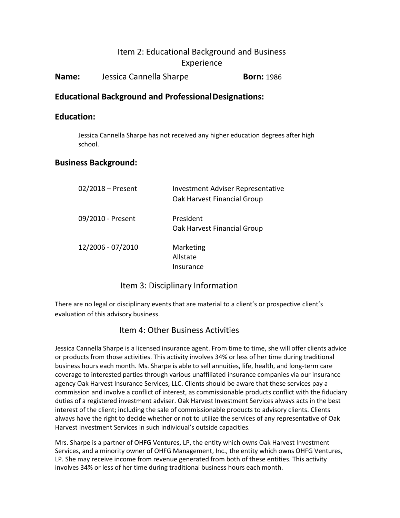**Name:** Jessica Cannella Sharpe **Born:** 1986

### **Educational Background and ProfessionalDesignations:**

### **Education:**

Jessica Cannella Sharpe has not received any higher education degrees after high school.

### **Business Background:**

| $02/2018$ – Present | <b>Investment Adviser Representative</b><br>Oak Harvest Financial Group |
|---------------------|-------------------------------------------------------------------------|
| 09/2010 - Present   | President<br>Oak Harvest Financial Group                                |
| 12/2006 - 07/2010   | Marketing<br>Allstate<br>Insurance                                      |

### Item 3: Disciplinary Information

There are no legal or disciplinary events that are material to a client's or prospective client's evaluation of this advisory business.

### Item 4: Other Business Activities

Jessica Cannella Sharpe is a licensed insurance agent. From time to time, she will offer clients advice or products from those activities. This activity involves 34% or less of her time during traditional business hours each month. Ms. Sharpe is able to sell annuities, life, health, and long-term care coverage to interested parties through various unaffiliated insurance companies via our insurance agency Oak Harvest Insurance Services, LLC. Clients should be aware that these services pay a commission and involve a conflict of interest, as commissionable products conflict with the fiduciary duties of a registered investment adviser. Oak Harvest Investment Services always acts in the best interest of the client; including the sale of commissionable products to advisory clients. Clients always have the right to decide whether or not to utilize the services of any representative of Oak Harvest Investment Services in such individual's outside capacities.

Mrs. Sharpe is a partner of OHFG Ventures, LP, the entity which owns Oak Harvest Investment Services, and a minority owner of OHFG Management, Inc., the entity which owns OHFG Ventures, LP. She may receive income from revenue generated from both of these entities. This activity involves 34% or less of her time during traditional business hours each month.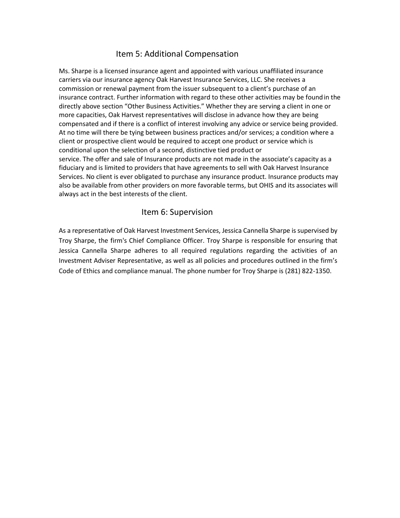### Item 5: Additional Compensation

Ms. Sharpe is a licensed insurance agent and appointed with various unaffiliated insurance carriers via our insurance agency Oak Harvest Insurance Services, LLC. She receives a commission or renewal payment from the issuer subsequent to a client's purchase of an insurance contract. Further information with regard to these other activities may be foundin the directly above section "Other Business Activities." Whether they are serving a client in one or more capacities, Oak Harvest representatives will disclose in advance how they are being compensated and if there is a conflict of interest involving any advice or service being provided. At no time will there be tying between business practices and/or services; a condition where a client or prospective client would be required to accept one product or service which is conditional upon the selection of a second, distinctive tied product or service. The offer and sale of Insurance products are not made in the associate's capacity as a fiduciary and is limited to providers that have agreements to sell with Oak Harvest Insurance Services. No client is ever obligated to purchase any insurance product. Insurance products may also be available from other providers on more favorable terms, but OHIS and its associates will always act in the best interests of the client.

### Item 6: Supervision

As a representative of Oak Harvest Investment Services, Jessica Cannella Sharpe is supervised by Troy Sharpe, the firm's Chief Compliance Officer. Troy Sharpe is responsible for ensuring that Jessica Cannella Sharpe adheres to all required regulations regarding the activities of an Investment Adviser Representative, as well as all policies and procedures outlined in the firm's Code of Ethics and compliance manual. The phone number for Troy Sharpe is (281) 822-1350.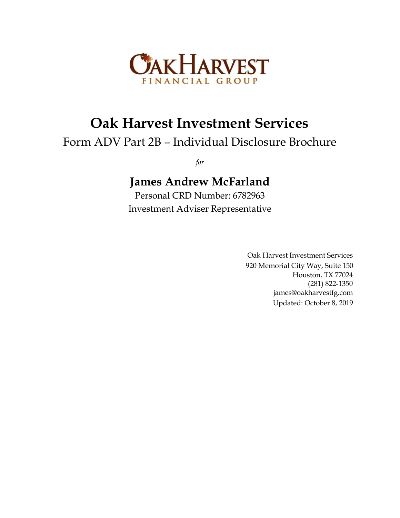

# **Oak Harvest Investment Services**

# Form ADV Part 2B – Individual Disclosure Brochure

*for*

# **James Andrew McFarland**

Personal CRD Number: 6782963 Investment Adviser Representative

> Oak Harvest Investment Services 920 Memorial City Way, Suite 150 Houston, TX 77024 (281) 822-1350 [james@oakharvestfg.com](mailto:james@oakharvestfg.com) Updated: October 8, 2019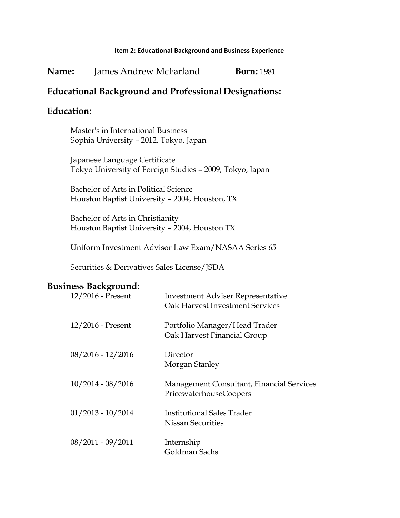| Name: | James Andrew McFarland | <b>Born:</b> 1981 |
|-------|------------------------|-------------------|
|-------|------------------------|-------------------|

### **Educational Background and Professional Designations:**

## **Education:**

Master's in International Business Sophia University – 2012, Tokyo, Japan

Japanese Language Certificate Tokyo University of Foreign Studies – 2009, Tokyo, Japan

Bachelor of Arts in Political Science Houston Baptist University – 2004, Houston, TX

Bachelor of Arts in Christianity Houston Baptist University – 2004, Houston TX

Uniform Investment Advisor Law Exam/NASAA Series 65

Securities & Derivatives Sales License/JSDA

### **Business Background:**

| 12/2016 - Present   | <b>Investment Adviser Representative</b><br>Oak Harvest Investment Services |
|---------------------|-----------------------------------------------------------------------------|
| $12/2016$ - Present | Portfolio Manager/Head Trader<br>Oak Harvest Financial Group                |
| $08/2016 - 12/2016$ | Director<br>Morgan Stanley                                                  |
| $10/2014 - 08/2016$ | Management Consultant, Financial Services<br>PricewaterhouseCoopers         |
| $01/2013 - 10/2014$ | <b>Institutional Sales Trader</b><br>Nissan Securities                      |
| $08/2011 - 09/2011$ | Internship<br>Goldman Sachs                                                 |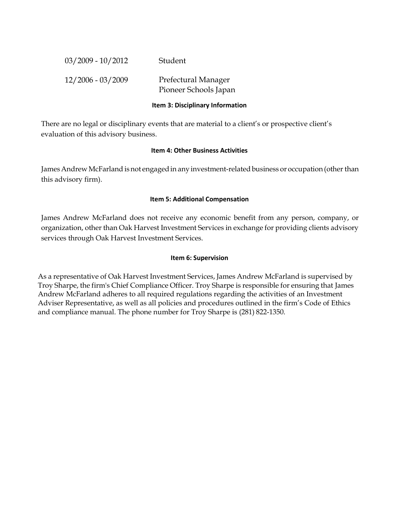| $03/2009 - 10/2012$ | Student                                      |
|---------------------|----------------------------------------------|
| $12/2006 - 03/2009$ | Prefectural Manager<br>Pioneer Schools Japan |

#### **Item 3: Disciplinary Information**

There are no legal or disciplinary events that are material to a client's or prospective client's evaluation of this advisory business.

#### **Item 4: Other Business Activities**

James Andrew McFarland is not engaged in any investment-related business or occupation (other than this advisory firm).

#### **Item 5: Additional Compensation**

James Andrew McFarland does not receive any economic benefit from any person, company, or organization, other than Oak Harvest Investment Services in exchange for providing clients advisory services through Oak Harvest Investment Services.

#### **Item 6: Supervision**

As a representative of Oak Harvest Investment Services, James Andrew McFarland is supervised by Troy Sharpe, the firm's Chief Compliance Officer. Troy Sharpe is responsible for ensuring that James Andrew McFarland adheres to all required regulations regarding the activities of an Investment Adviser Representative, as well as all policies and procedures outlined in the firm's Code of Ethics and compliance manual. The phone number for Troy Sharpe is (281) 822-1350.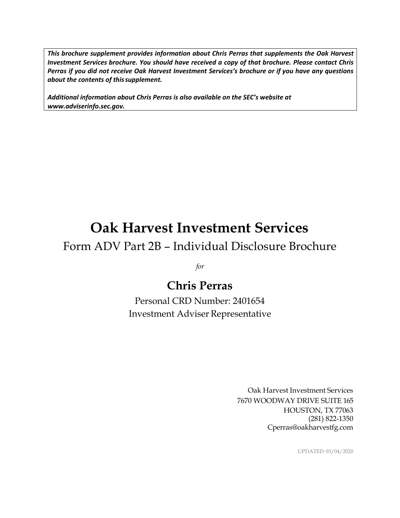*This brochure supplement provides information about Chris Perras that supplements the Oak Harvest Investment Services brochure. You should have received a copy of that brochure. Please contact Chris Perras if you did not receive Oak Harvest Investment Services's brochure or if you have any questions about the contents of thissupplement.*

*Additional information about Chris Perras is also available on the SEC's website at [www.adviserinfo.sec.gov.](http://www.adviserinfo.sec.gov/)*

# **Oak Harvest Investment Services**

## Form ADV Part 2B – Individual Disclosure Brochure

*for*

# **Chris Perras**

Personal CRD Number: 2401654 Investment Adviser Representative

> Oak Harvest Investment Services 7670 WOODWAY DRIVE SUITE 165 HOUSTON, TX 77063 (281) 822-1350 [Cperras@oakharvestfg.com](mailto:Cperras@oakharvestfg.com)

> > UPDATED: 03/04/2020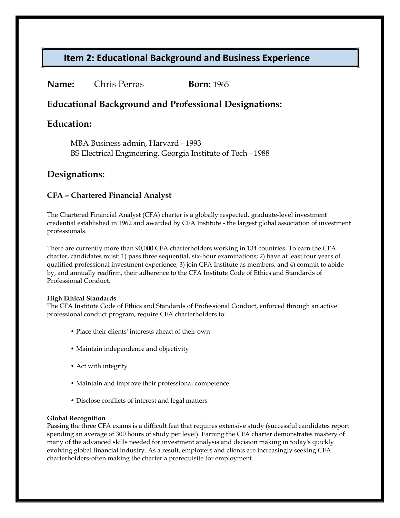### **Name:** Chris Perras **Born:** 1965

### **Educational Background and Professional Designations:**

### **Education:**

MBA Business admin, Harvard - 1993 BS Electrical Engineering, Georgia Institute of Tech - 1988

### **Designations:**

### **CFA** *–* **Chartered Financial Analyst**

The Chartered Financial Analyst (CFA) charter is a globally respected, graduate-level investment credential established in 1962 and awarded by CFA Institute - the largest global association of investment professionals.

There are currently more than 90,000 CFA charterholders working in 134 countries. To earn the CFA charter, candidates must: 1) pass three sequential, six-hour examinations; 2) have at least four years of qualified professional investment experience; 3) join CFA Institute as members; and 4) commit to abide by, and annually reaffirm, their adherence to the CFA Institute Code of Ethics and Standards of Professional Conduct.

#### **High Ethical Standards**

The CFA Institute Code of Ethics and Standards of Professional Conduct, enforced through an active professional conduct program, require CFA charterholders to:

- Place their clients' interests ahead of their own
- Maintain independence and objectivity
- Act with integrity
- Maintain and improve their professional competence
- Disclose conflicts of interest and legal matters

#### **Global Recognition**

Passing the three CFA exams is a difficult feat that requires extensive study (successful candidates report spending an average of 300 hours of study per level). Earning the CFA charter demonstrates mastery of many of the advanced skills needed for investment analysis and decision making in today's quickly evolving global financial industry. As a result, employers and clients are increasingly seeking CFA charterholders-often making the charter a prerequisite for employment.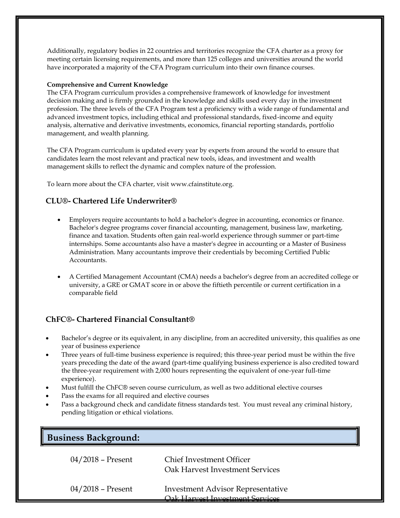Additionally, regulatory bodies in 22 countries and territories recognize the CFA charter as a proxy for meeting certain licensing requirements, and more than 125 colleges and universities around the world have incorporated a majority of the CFA Program curriculum into their own finance courses.

#### **Comprehensive and Current Knowledge**

The CFA Program curriculum provides a comprehensive framework of knowledge for investment decision making and is firmly grounded in the knowledge and skills used every day in the investment profession. The three levels of the CFA Program test a proficiency with a wide range of fundamental and advanced investment topics, including ethical and professional standards, fixed-income and equity analysis, alternative and derivative investments, economics, financial reporting standards, portfolio management, and wealth planning.

The CFA Program curriculum is updated every year by experts from around the world to ensure that candidates learn the most relevant and practical new tools, ideas, and investment and wealth management skills to reflect the dynamic and complex nature of the profession.

To learn more about the CFA charter, visit [www.cfainstitute.org.](http://www.cfainstitute.org/)

### **CLU®- Chartered Life Underwriter®**

- Employers require accountants to hold a bachelor's degree in accounting, economics or finance. Bachelor's degree programs cover financial accounting, management, business law, marketing, finance and taxation. Students often gain real-world experience through summer or part-time internships. Some accountants also have a master's degree in accounting or a Master of Business Administration. Many accountants improve their credentials by becoming Certified Public Accountants.
- A Certified Management Accountant (CMA) needs a bachelor's degree from an accredited college or university, a GRE or GMAT score in or above the fiftieth percentile or current certification in a comparable field

#### **ChFC®- Chartered Financial Consultant®**

- Bachelor's degree or its equivalent, in any discipline, from an accredited university, this qualifies as one year of business experience
- Three years of full-time business experience is required; this three-year period must be within the five years preceding the date of the award (part-time qualifying business experience is also credited toward the three-year requirement with 2,000 hours representing the equivalent of one-year full-time experience).
- Must fulfill the ChFC® seven course curriculum, as well as two additional elective courses
- Pass the exams for all required and elective courses
- Pass a background check and candidate fitness standards test. You must reveal any criminal history, pending litigation or ethical violations.

| <b>Business Background:</b> |                                                                    |
|-----------------------------|--------------------------------------------------------------------|
| $04/2018$ – Present         | <b>Chief Investment Officer</b><br>Oak Harvest Investment Services |
| $04/2018$ – Present         | <b>Investment Advisor Representative</b>                           |

Oak Harvest Investment Servi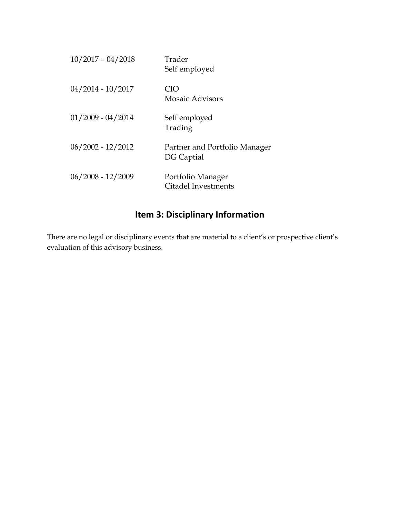| $10/2017 - 04/2018$ | Trader<br>Self employed                     |
|---------------------|---------------------------------------------|
| $04/2014 - 10/2017$ | CIO<br><b>Mosaic Advisors</b>               |
| $01/2009 - 04/2014$ | Self employed<br>Trading                    |
| $06/2002 - 12/2012$ | Partner and Portfolio Manager<br>DG Captial |
| $06/2008 - 12/2009$ | Portfolio Manager<br>Citadel Investments    |

## **Item 3: Disciplinary Information**

There are no legal or disciplinary events that are material to a client's or prospective client's evaluation of this advisory business.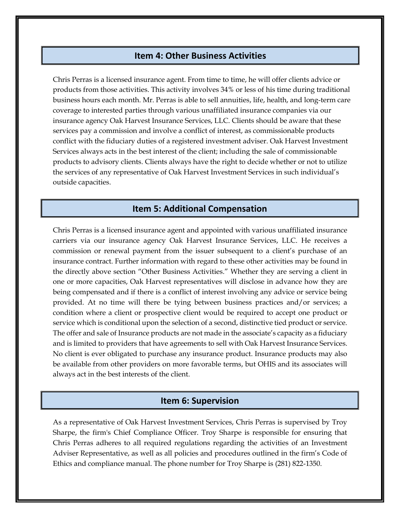### **Item 4: Other Business Activities**

Chris Perras is a licensed insurance agent. From time to time, he will offer clients advice or products from those activities. This activity involves 34% or less of his time during traditional business hours each month. Mr. Perras is able to sell annuities, life, health, and long-term care coverage to interested parties through various unaffiliated insurance companies via our insurance agency Oak Harvest Insurance Services, LLC. Clients should be aware that these services pay a commission and involve a conflict of interest, as commissionable products conflict with the fiduciary duties of a registered investment adviser. Oak Harvest Investment Services always acts in the best interest of the client; including the sale of commissionable products to advisory clients. Clients always have the right to decide whether or not to utilize the services of any representative of Oak Harvest Investment Services in such individual's outside capacities.

### **Item 5: Additional Compensation**

Chris Perras is a licensed insurance agent and appointed with various unaffiliated insurance carriers via our insurance agency Oak Harvest Insurance Services, LLC. He receives a commission or renewal payment from the issuer subsequent to a client's purchase of an insurance contract. Further information with regard to these other activities may be found in the directly above section "Other Business Activities." Whether they are serving a client in one or more capacities, Oak Harvest representatives will disclose in advance how they are being compensated and if there is a conflict of interest involving any advice or service being provided. At no time will there be tying between business practices and/or services; a condition where a client or prospective client would be required to accept one product or service which is conditional upon the selection of a second, distinctive tied product or service. The offer and sale of Insurance products are not made in the associate's capacity as a fiduciary and is limited to providers that have agreements to sell with Oak Harvest Insurance Services. No client is ever obligated to purchase any insurance product. Insurance products may also be available from other providers on more favorable terms, but OHIS and its associates will always act in the best interests of the client.

#### **Item 6: Supervision**

As a representative of Oak Harvest Investment Services, Chris Perras is supervised by Troy Sharpe, the firm's Chief Compliance Officer. Troy Sharpe is responsible for ensuring that Chris Perras adheres to all required regulations regarding the activities of an Investment Adviser Representative, as well as all policies and procedures outlined in the firm's Code of Ethics and compliance manual. The phone number for Troy Sharpe is (281) 822-1350.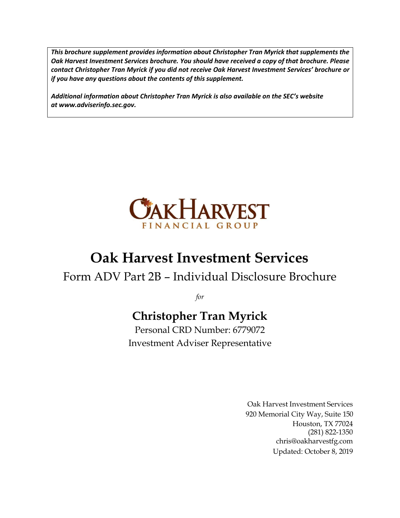*This brochure supplement provides information about Christopher Tran Myrick that supplements the Oak Harvest Investment Services brochure. You should have received a copy of that brochure. Please contact Christopher Tran Myrick if you did not receive Oak Harvest Investment Services' brochure or if you have any questions about the contents of this supplement.*

*Additional information about Christopher Tran Myrick is also available on the SEC's website at [www.adviserinfo.sec.gov.](http://www.adviserinfo.sec.gov/)*



# **Oak Harvest Investment Services**

# Form ADV Part 2B – Individual Disclosure Brochure

*for*

# **Christopher Tran Myrick**

Personal CRD Number: 6779072 Investment Adviser Representative

> Oak Harvest Investment Services 920 Memorial City Way, Suite 150 Houston, TX 77024 (281) 822-1350 [chris@oakharvestfg.com](mailto:chris@oakharvestfg.com) Updated: October 8, 2019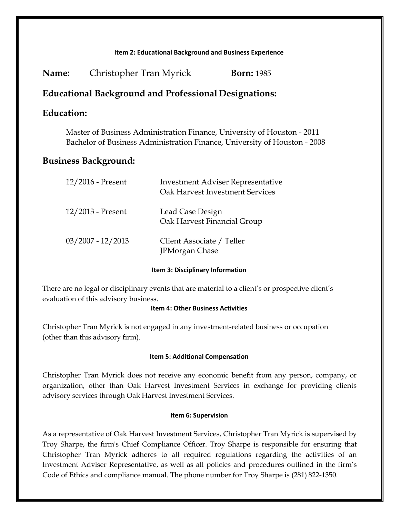| <b>Born:</b> 1985 | Christopher Tran Myrick | Name: |
|-------------------|-------------------------|-------|
|                   |                         |       |

### **Educational Background and Professional Designations:**

### **Education:**

Master of Business Administration Finance, University of Houston - 2011 Bachelor of Business Administration Finance, University of Houston - 2008

### **Business Background:**

| 12/2016 - Present   | <b>Investment Adviser Representative</b><br>Oak Harvest Investment Services |
|---------------------|-----------------------------------------------------------------------------|
| 12/2013 - Present   | Lead Case Design<br>Oak Harvest Financial Group                             |
| $03/2007 - 12/2013$ | Client Associate / Teller<br><b>JPMorgan Chase</b>                          |

**Item 3: Disciplinary Information**

There are no legal or disciplinary events that are material to a client's or prospective client's evaluation of this advisory business.

#### **Item 4: Other Business Activities**

Christopher Tran Myrick is not engaged in any investment-related business or occupation (other than this advisory firm).

#### **Item 5: Additional Compensation**

Christopher Tran Myrick does not receive any economic benefit from any person, company, or organization, other than Oak Harvest Investment Services in exchange for providing clients advisory services through Oak Harvest Investment Services.

#### **Item 6: Supervision**

As a representative of Oak Harvest Investment Services, Christopher Tran Myrick is supervised by Troy Sharpe, the firm's Chief Compliance Officer. Troy Sharpe is responsible for ensuring that Christopher Tran Myrick adheres to all required regulations regarding the activities of an Investment Adviser Representative, as well as all policies and procedures outlined in the firm's Code of Ethics and compliance manual. The phone number for Troy Sharpe is (281) 822-1350.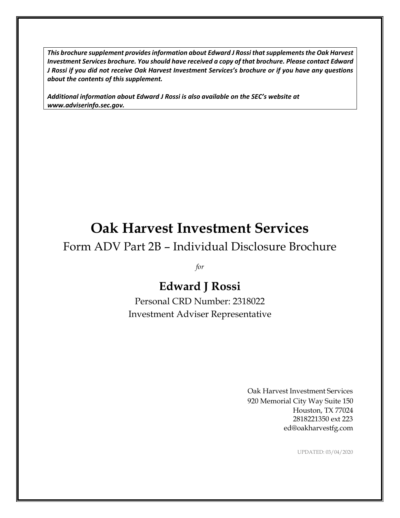*This brochure supplement provides information about Edward J Rossi that supplements the Oak Harvest Investment Services brochure. You should have received a copy of that brochure. Please contact Edward J Rossi if you did not receive Oak Harvest Investment Services's brochure or if you have any questions about the contents of this supplement.*

*Additional information about Edward J Rossi is also available on the SEC's website at [www.adviserinfo.sec.gov.](http://www.adviserinfo.sec.gov/)*

# **Oak Harvest Investment Services**

# Form ADV Part 2B – Individual Disclosure Brochure

*for*

# **Edward J Rossi**

Personal CRD Number: 2318022 Investment Adviser Representative

> Oak Harvest Investment Services 920 Memorial City Way Suite 150 Houston, TX 77024 2818221350 ext 223 [ed@oakharvestfg.com](mailto:ed@oakharvestfg.com)

> > UPDATED: 03/04/2020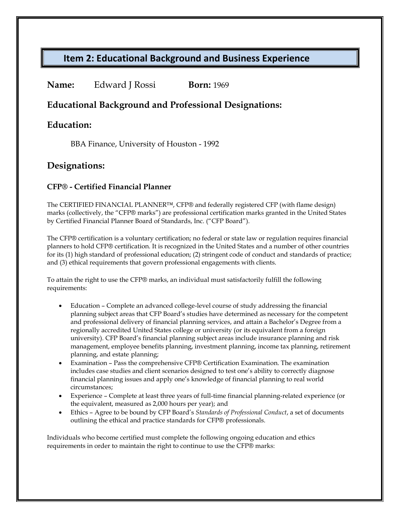### **Name:** Edward J Rossi **Born:** 1969

### **Educational Background and Professional Designations:**

### **Education:**

BBA Finance, University of Houston - 1992

### **Designations:**

### **CFP® - Certified Financial Planner**

The CERTIFIED FINANCIAL PLANNER™, CFP® and federally registered CFP (with flame design) marks (collectively, the "CFP® marks") are professional certification marks granted in the United States by Certified Financial Planner Board of Standards, Inc. ("CFP Board").

The CFP® certification is a voluntary certification; no federal or state law or regulation requires financial planners to hold CFP® certification. It is recognized in the United States and a number of other countries for its (1) high standard of professional education; (2) stringent code of conduct and standards of practice; and (3) ethical requirements that govern professional engagements with clients.

To attain the right to use the CFP® marks, an individual must satisfactorily fulfill the following requirements:

- Education Complete an advanced college-level course of study addressing the financial planning subject areas that CFP Board's studies have determined as necessary for the competent and professional delivery of financial planning services, and attain a Bachelor's Degree from a regionally accredited United States college or university (or its equivalent from a foreign university). CFP Board's financial planning subject areas include insurance planning and risk management, employee benefits planning, investment planning, income tax planning, retirement planning, and estate planning;
- Examination Pass the comprehensive CFP® Certification Examination. The examination includes case studies and client scenarios designed to test one's ability to correctly diagnose financial planning issues and apply one's knowledge of financial planning to real world circumstances;
- Experience Complete at least three years of full-time financial planning-related experience (or the equivalent, measured as 2,000 hours per year); and
- Ethics Agree to be bound by CFP Board's *Standards of Professional Conduct*, a set of documents outlining the ethical and practice standards for CFP® professionals.

Individuals who become certified must complete the following ongoing education and ethics requirements in order to maintain the right to continue to use the CFP® marks: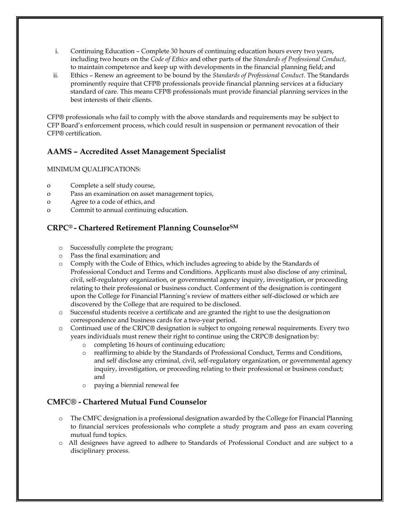- i. Continuing Education Complete 30 hours of continuing education hours every two years, including two hours on the *Code of Ethics* and other parts of the *Standards of Professional Conduct*, to maintain competence and keep up with developments in the financial planning field; and
- ii. Ethics Renew an agreement to be bound by the *Standards of Professional Conduct*. The Standards prominently require that CFP® professionals provide financial planning services at a fiduciary standard of care. This means CFP® professionals must provide financial planning services in the best interests of their clients.

CFP® professionals who fail to comply with the above standards and requirements may be subject to CFP Board's enforcement process, which could result in suspension or permanent revocation of their CFP® certification.

### **AAMS** *–* **Accredited Asset Management Specialist**

#### MINIMUM QUALIFICATIONS:

- o Complete a self study course,
- o Pass an examination on asset management topics,
- o Agree to a code of ethics, and
- o Commit to annual continuing education.

### **CRPC® - Chartered Retirement Planning CounselorSM**

- o Successfully complete the program;
- o Pass the final examination; and
- o Comply with the Code of Ethics, which includes agreeing to abide by the Standards of Professional Conduct and Terms and Conditions. Applicants must also disclose of any criminal, civil, self-regulatory organization, or governmental agency inquiry, investigation, or proceeding relating to their professional or business conduct. Conferment of the designation is contingent upon the College for Financial Planning's review of matters either self-disclosed or which are discovered by the College that are required to be disclosed.
- o Successful students receive a certificate and are granted the right to use the designationon correspondence and business cards for a two-year period.
- o Continued use of the CRPC® designation is subject to ongoing renewal requirements. Every two years individuals must renew their right to continue using the CRPC® designation by:
	- o completing 16 hours of continuing education;
	- o reaffirming to abide by the Standards of Professional Conduct, Terms and Conditions, and self disclose any criminal, civil, self-regulatory organization, or governmental agency inquiry, investigation, or proceeding relating to their professional or business conduct; and
	- o paying a biennial renewal fee

### **CMFC® - Chartered Mutual Fund Counselor**

- o The CMFC designation is a professional designation awarded by the College for Financial Planning to financial services professionals who complete a study program and pass an exam covering mutual fund topics.
- o All designees have agreed to adhere to [Standards of Professional Conduct](http://cffpdesignations.com/Designee/Standards) and are subject to a disciplinary process.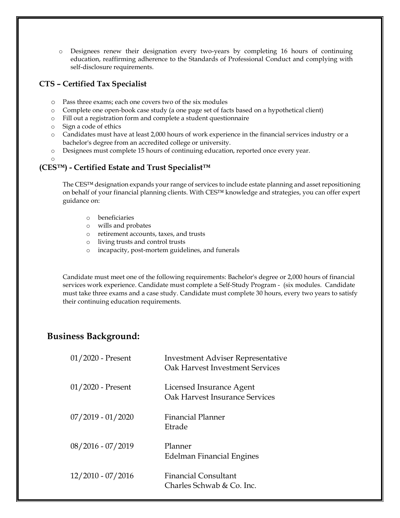o Designees renew their designation every two-years by completing 16 hours of continuing education, reaffirming adherence to the Standards of Professional Conduct and complying with self-disclosure requirements.

### **CTS – Certified Tax Specialist**

- o Pass three exams; each one covers two of the six modules
- o Complete one open-book case study (a one page set of facts based on a hypothetical client)
- o Fill out a registration form and complete a student questionnaire
- o Sign a code of ethics
- o Candidates must have at least 2,000 hours of work experience in the financial services industry or a bachelor's degree from an accredited college or university.
- o Designees must complete 15 hours of continuing education, reported once every year.
- o

### **(CES™) - Certified Estate and Trust Specialist™**

The CES™ designation expands your range of services to include estate planning and asset repositioning on behalf of your financial planning clients. With CES™ knowledge and strategies, you can offer expert guidance on:

- o beneficiaries
- o wills and probates
- o retirement accounts, taxes, and trusts
- o living trusts and control trusts
- o incapacity, post-mortem guidelines, and funerals

Candidate must meet one of the following requirements: Bachelor's degree or 2,000 hours of financial services work experience. Candidate must complete [a Self-Study Program](http://www.icfs.com/programs/certified_estate_planning/program_overview.php) - (six modules. Candidate must take three exams and a case study. Candidate must complete 30 hours, every two years to satisfy their continuing education requirements.

### **Business Background:**

| $01/2020$ - Present | <b>Investment Adviser Representative</b><br>Oak Harvest Investment Services |
|---------------------|-----------------------------------------------------------------------------|
| $01/2020$ - Present | Licensed Insurance Agent<br>Oak Harvest Insurance Services                  |
| $07/2019 - 01/2020$ | Financial Planner<br>Etrade                                                 |
| 08/2016 - 07/2019   | Planner<br>Edelman Financial Engines                                        |
| $12/2010 - 07/2016$ | <b>Financial Consultant</b><br>Charles Schwab & Co. Inc.                    |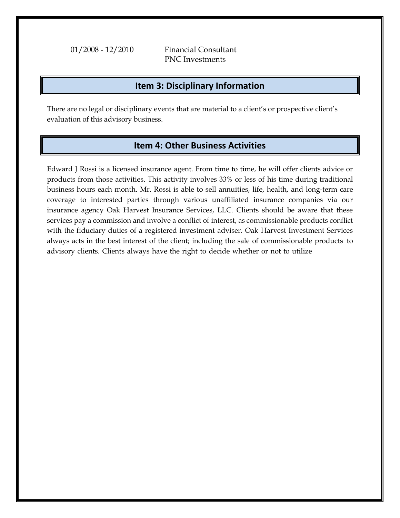01/2008 - 12/2010 Financial Consultant PNC Investments

### **Item 3: Disciplinary Information**

There are no legal or disciplinary events that are material to a client's or prospective client's evaluation of this advisory business.

### **Item 4: Other Business Activities**

Edward J Rossi is a licensed insurance agent. From time to time, he will offer clients advice or products from those activities. This activity involves 33% or less of his time during traditional business hours each month. Mr. Rossi is able to sell annuities, life, health, and long-term care coverage to interested parties through various unaffiliated insurance companies via our insurance agency Oak Harvest Insurance Services, LLC. Clients should be aware that these services pay a commission and involve a conflict of interest, as commissionable products conflict with the fiduciary duties of a registered investment adviser. Oak Harvest Investment Services always acts in the best interest of the client; including the sale of commissionable products to advisory clients. Clients always have the right to decide whether or not to utilize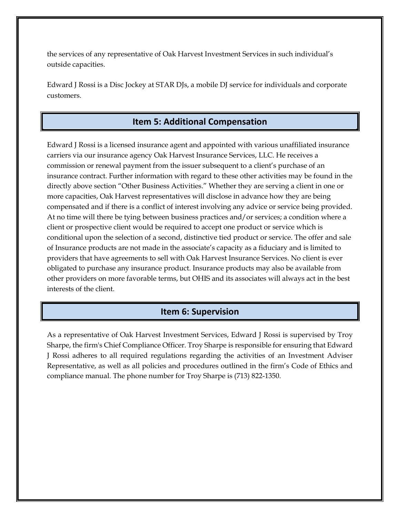the services of any representative of Oak Harvest Investment Services in such individual's outside capacities.

Edward J Rossi is a Disc Jockey at STAR DJs, a mobile DJ service for individuals and corporate customers.

### **Item 5: Additional Compensation**

Edward J Rossi is a licensed insurance agent and appointed with various unaffiliated insurance carriers via our insurance agency Oak Harvest Insurance Services, LLC. He receives a commission or renewal payment from the issuer subsequent to a client's purchase of an insurance contract. Further information with regard to these other activities may be found in the directly above section "Other Business Activities." Whether they are serving a client in one or more capacities, Oak Harvest representatives will disclose in advance how they are being compensated and if there is a conflict of interest involving any advice or service being provided. At no time will there be tying between business practices and/or services; a condition where a client or prospective client would be required to accept one product or service which is conditional upon the selection of a second, distinctive tied product or service. The offer and sale of Insurance products are not made in the associate's capacity as a fiduciary and is limited to providers that have agreements to sell with Oak Harvest Insurance Services. No client is ever obligated to purchase any insurance product. Insurance products may also be available from other providers on more favorable terms, but OHIS and its associates will always act in the best interests of the client.

### **Item 6: Supervision**

As a representative of Oak Harvest Investment Services, Edward J Rossi is supervised by Troy Sharpe, the firm's Chief Compliance Officer. Troy Sharpe is responsible for ensuring that Edward J Rossi adheres to all required regulations regarding the activities of an Investment Adviser Representative, as well as all policies and procedures outlined in the firm's Code of Ethics and compliance manual. The phone number for Troy Sharpe is (713) 822-1350.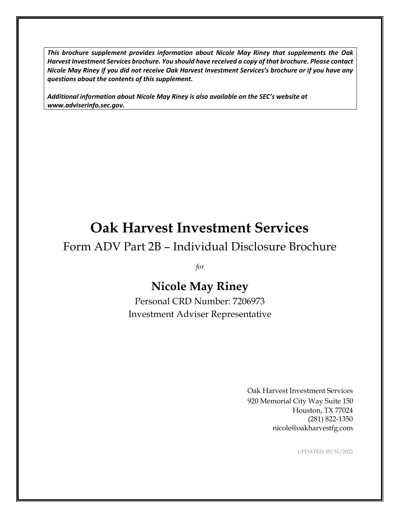*This brochure supplement provides information about Nicole May Riney that supplements the Oak Harvest Investment Services brochure. You should have received a copy of that brochure. Please contact Nicole May Riney if you did not receive Oak Harvest Investment Services's brochure or if you have any questions about the contents of this supplement.*

*Additional information about Nicole May Riney is also available on the SEC's website at [www.adviserinfo.sec.gov.](http://www.adviserinfo.sec.gov/)*

# **Oak Harvest Investment Services**

# Form ADV Part 2B – Individual Disclosure Brochure

*for*

# **Nicole May Riney**

Personal CRD Number: 7206973 Investment Adviser Representative

> Oak Harvest Investment Services 920 Memorial City Way Suite 150 Houston, TX 77024 (281) 822-1350 [nicole@oakharvestfg.com](mailto:nicole@oakharvestfg.com)

> > UPDATED: 05/31/2022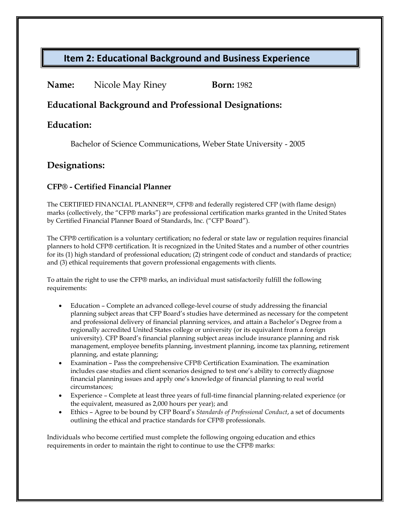| Name: | Nicole May Riney | <b>Born:</b> 1982 |
|-------|------------------|-------------------|
|-------|------------------|-------------------|

### **Educational Background and Professional Designations:**

### **Education:**

Bachelor of Science Communications, Weber State University - 2005

### **Designations:**

### **CFP® - Certified Financial Planner**

The CERTIFIED FINANCIAL PLANNER™, CFP® and federally registered CFP (with flame design) marks (collectively, the "CFP® marks") are professional certification marks granted in the United States by Certified Financial Planner Board of Standards, Inc. ("CFP Board").

The CFP® certification is a voluntary certification; no federal or state law or regulation requires financial planners to hold CFP® certification. It is recognized in the United States and a number of other countries for its (1) high standard of professional education; (2) stringent code of conduct and standards of practice; and (3) ethical requirements that govern professional engagements with clients.

To attain the right to use the CFP® marks, an individual must satisfactorily fulfill the following requirements:

- Education Complete an advanced college-level course of study addressing the financial planning subject areas that CFP Board's studies have determined as necessary for the competent and professional delivery of financial planning services, and attain a Bachelor's Degree from a regionally accredited United States college or university (or its equivalent from a foreign university). CFP Board's financial planning subject areas include insurance planning and risk management, employee benefits planning, investment planning, income tax planning, retirement planning, and estate planning;
- Examination Pass the comprehensive CFP® Certification Examination. The examination includes case studies and client scenarios designed to test one's ability to correctlydiagnose financial planning issues and apply one's knowledge of financial planning to real world circumstances;
- Experience Complete at least three years of full-time financial planning-related experience (or the equivalent, measured as 2,000 hours per year); and
- Ethics Agree to be bound by CFP Board's *Standards of Professional Conduct*, a set of documents outlining the ethical and practice standards for CFP® professionals.

Individuals who become certified must complete the following ongoing education and ethics requirements in order to maintain the right to continue to use the CFP® marks: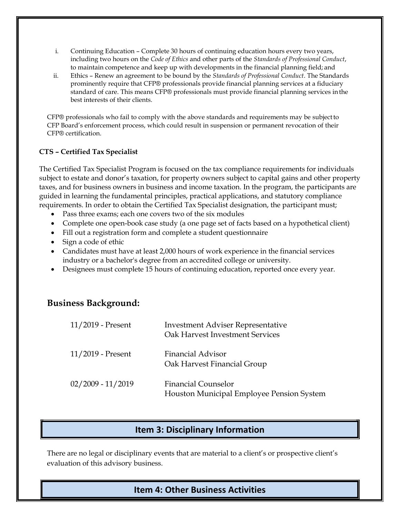- i. Continuing Education Complete 30 hours of continuing education hours every two years, including two hours on the *Code of Ethics* and other parts of the *Standards of Professional Conduct*, to maintain competence and keep up with developments in the financial planning field; and
- ii. Ethics Renew an agreement to be bound by the *Standards of Professional Conduct*. The Standards prominently require that CFP® professionals provide financial planning services at a fiduciary standard of care. This means CFP® professionals must provide financial planning services inthe best interests of their clients.

CFP® professionals who fail to comply with the above standards and requirements may be subjectto CFP Board's enforcement process, which could result in suspension or permanent revocation of their CFP® certification.

### **CTS – Certified Tax Specialist**

The Certified Tax Specialist Program is focused on the tax compliance requirements for individuals subject to estate and donor's taxation, for property owners subject to capital gains and other property taxes, and for business owners in business and income taxation. In the program, the participants are guided in learning the fundamental principles, practical applications, and statutory compliance requirements. In order to obtain the Certified Tax Specialist designation, the participant must;

- Pass three exams; each one covers two of the six modules
- Complete one open-book case study (a one page set of facts based on a hypothetical client)
- Fill out a registration form and complete a student questionnaire
- Sign a code of ethic
- Candidates must have at least 2,000 hours of work experience in the financial services industry or a bachelor's degree from an accredited college or university.
- Designees must complete 15 hours of continuing education, reported once every year.

### **Business Background:**

| 11/2019 - Present   | <b>Investment Adviser Representative</b><br>Oak Harvest Investment Services |
|---------------------|-----------------------------------------------------------------------------|
| $11/2019$ - Present | <b>Financial Advisor</b><br>Oak Harvest Financial Group                     |
| $02/2009 - 11/2019$ | <b>Financial Counselor</b><br>Houston Municipal Employee Pension System     |

### **Item 3: Disciplinary Information**

There are no legal or disciplinary events that are material to a client's or prospective client's evaluation of this advisory business.

### **Item 4: Other Business Activities**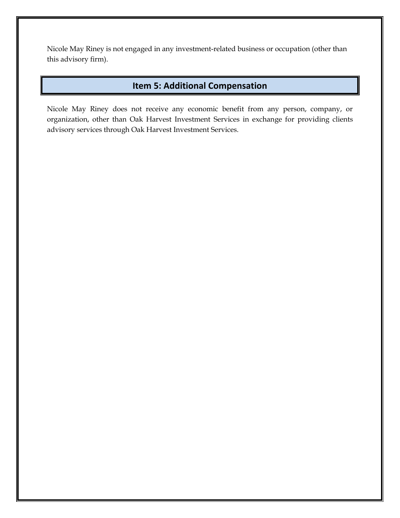Nicole May Riney is not engaged in any investment-related business or occupation (other than this advisory firm).

### **Item 5: Additional Compensation**

Nicole May Riney does not receive any economic benefit from any person, company, or organization, other than Oak Harvest Investment Services in exchange for providing clients advisory services through Oak Harvest Investment Services.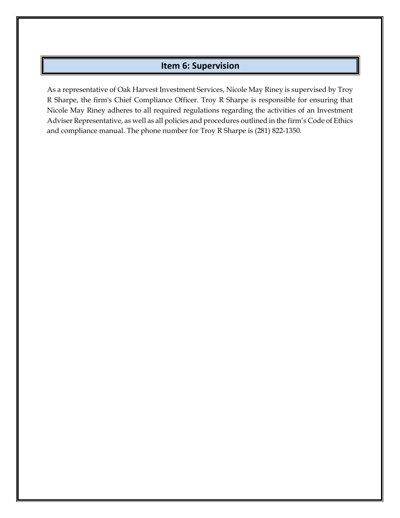### **Item 6: Supervision**

As a representative of Oak Harvest Investment Services, Nicole May Riney is supervised by Troy R Sharpe, the firm's Chief Compliance Officer. Troy R Sharpe is responsible for ensuring that Nicole May Riney adheres to all required regulations regarding the activities of an Investment Adviser Representative, as well as all policies and procedures outlined in the firm's Code of Ethics and compliance manual. The phone number for Troy R Sharpe is (281) 822-1350.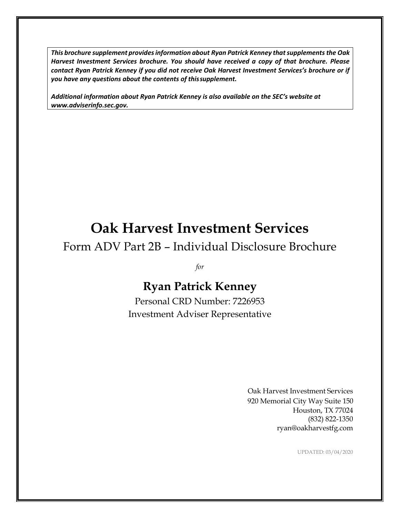*This brochure supplement providesinformation about Ryan Patrick Kenney thatsupplements the Oak Harvest Investment Services brochure. You should have received a copy of that brochure. Please contact Ryan Patrick Kenney if you did not receive Oak Harvest Investment Services's brochure or if you have any questions about the contents of thissupplement.*

*Additional information about Ryan Patrick Kenney is also available on the SEC's website at [www.adviserinfo.sec.gov.](http://www.adviserinfo.sec.gov/)*

# **Oak Harvest Investment Services**

# Form ADV Part 2B – Individual Disclosure Brochure

*for*

# **Ryan Patrick Kenney**

Personal CRD Number: 7226953 Investment Adviser Representative

> Oak Harvest Investment Services 920 Memorial City Way Suite 150 Houston, TX 77024 (832) 822-1350 [ryan@oakharvestfg.com](mailto:ryan@oakharvestfg.com)

> > UPDATED: 03/04/2020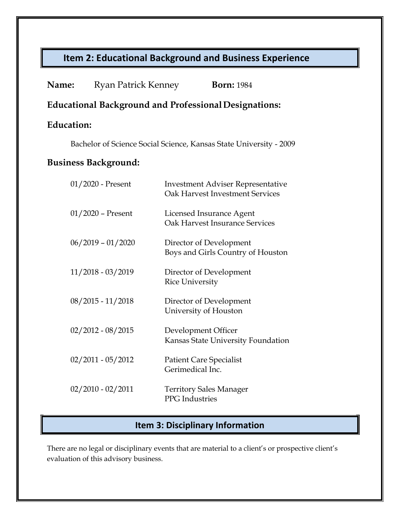| Name:                       | <b>Ryan Patrick Kenney</b> | <b>Born: 1984</b>                                                                  |
|-----------------------------|----------------------------|------------------------------------------------------------------------------------|
|                             |                            | <b>Educational Background and Professional Designations:</b>                       |
| <b>Education:</b>           |                            |                                                                                    |
|                             |                            | Bachelor of Science Social Science, Kansas State University - 2009                 |
| <b>Business Background:</b> |                            |                                                                                    |
|                             | 01/2020 - Present          | <b>Investment Adviser Representative</b><br><b>Oak Harvest Investment Services</b> |
|                             | $01/2020$ – Present        | Licensed Insurance Agent<br><b>Oak Harvest Insurance Services</b>                  |
|                             | $06/2019 - 01/2020$        | Director of Development<br>Boys and Girls Country of Houston                       |
|                             | $11/2018 - 03/2019$        | Director of Development<br><b>Rice University</b>                                  |
|                             | $08/2015 - 11/2018$        | Director of Development<br>University of Houston                                   |
|                             | $02/2012 - 08/2015$        | Development Officer<br>Kansas State University Foundation                          |
|                             | $02/2011 - 05/2012$        | <b>Patient Care Specialist</b><br>Gerimedical Inc.                                 |
|                             | $02/2010 - 02/2011$        | <b>Territory Sales Manager</b><br><b>PPG</b> Industries                            |

## **Item 3: Disciplinary Information**

There are no legal or disciplinary events that are material to a client's or prospective client's evaluation of this advisory business.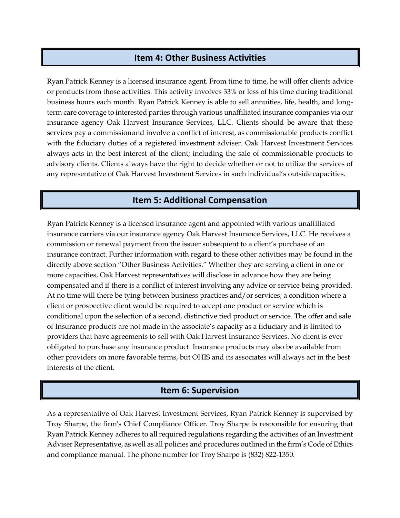### **Item 4: Other Business Activities**

Ryan Patrick Kenney is a licensed insurance agent. From time to time, he will offer clients advice or products from those activities. This activity involves 33% or less of his time during traditional business hours each month. Ryan Patrick Kenney is able to sell annuities, life, health, and longterm care coverage to interested parties through various unaffiliated insurance companies via our insurance agency Oak Harvest Insurance Services, LLC. Clients should be aware that these services pay a commissionand involve a conflict of interest, as commissionable products conflict with the fiduciary duties of a registered investment adviser. Oak Harvest Investment Services always acts in the best interest of the client; including the sale of commissionable products to advisory clients. Clients always have the right to decide whether or not to utilize the services of any representative of Oak Harvest Investment Services in such individual's outside capacities.

### **Item 5: Additional Compensation**

Ryan Patrick Kenney is a licensed insurance agent and appointed with various unaffiliated insurance carriers via our insurance agency Oak Harvest Insurance Services, LLC. He receives a commission or renewal payment from the issuer subsequent to a client's purchase of an insurance contract. Further information with regard to these other activities may be found in the directly above section "Other Business Activities." Whether they are serving a client in one or more capacities, Oak Harvest representatives will disclose in advance how they are being compensated and if there is a conflict of interest involving any advice or service being provided. At no time will there be tying between business practices and/or services; a condition where a client or prospective client would be required to accept one product or service which is conditional upon the selection of a second, distinctive tied product or service. The offer and sale of Insurance products are not made in the associate's capacity as a fiduciary and is limited to providers that have agreements to sell with Oak Harvest Insurance Services. No client is ever obligated to purchase any insurance product. Insurance products may also be available from other providers on more favorable terms, but OHIS and its associates will always act in the best interests of the client.

### **Item 6: Supervision**

As a representative of Oak Harvest Investment Services, Ryan Patrick Kenney is supervised by Troy Sharpe, the firm's Chief Compliance Officer. Troy Sharpe is responsible for ensuring that Ryan Patrick Kenney adheres to all required regulations regarding the activities of an Investment Adviser Representative, as well as all policies and procedures outlined in the firm's Code of Ethics and compliance manual. The phone number for Troy Sharpe is (832) 822-1350.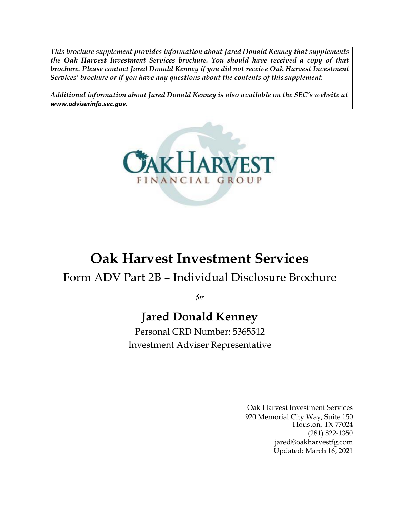*This brochure supplement provides information about Jared Donald Kenney that supplements the Oak Harvest Investment Services brochure. You should have received a copy of that brochure. Please contact Jared Donald Kenney if you did not receive Oak Harvest Investment Services' brochure or if you have any questions about the contents of this supplement.*

*Additional information about Jared Donald Kenney is also available on the SEC's website at [www.adviserinfo.sec.gov.](http://www.adviserinfo.sec.gov/)*



# **Oak Harvest Investment Services**

# Form ADV Part 2B – Individual Disclosure Brochure

*for*

# **Jared Donald Kenney**

Personal CRD Number: 5365512 Investment Adviser Representative

> Oak Harvest Investment Services 920 Memorial City Way, Suite 150 Houston, TX 77024 (281) 822-1350 [jared@oakharvestfg.com](mailto:jared@oakharvestfg.com) Updated: March 16, 2021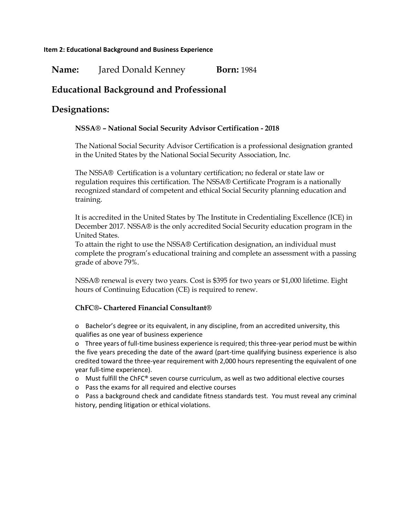**Name:** Jared Donald Kenney **Born:** 1984

## **Educational Background and Professional**

### **Designations:**

### **NSSA® – National Social Security Advisor Certification - 2018**

The National Social Security Advisor Certification is a professional designation granted in the United States by the National Social Security Association, Inc.

The NSSA® Certification is a voluntary certification; no federal or state law or regulation requires this certification. The NSSA® Certificate Program is a nationally recognized standard of competent and ethical Social Security planning education and training.

It is accredited in the United States by The Institute in Credentialing Excellence (ICE) in December 2017. NSSA® is the only accredited Social Security education program in the United States.

To attain the right to use the NSSA® Certification designation, an individual must complete the program's educational training and complete an assessment with a passing grade of above 79%.

NSSA® renewal is every two years. Cost is \$395 for two years or \$1,000 lifetime. Eight hours of Continuing Education (CE) is required to renew.

#### **ChFC®- Chartered Financial Consultant®**

o Bachelor's degree or its equivalent, in any discipline, from an accredited university, this qualifies as one year of business experience

o Three years of full-time business experience is required; this three-year period must be within the five years preceding the date of the award (part-time qualifying business experience is also credited toward the three-year requirement with 2,000 hours representing the equivalent of one year full-time experience).

- o Must fulfill the ChFC® seven course curriculum, as well as two additional elective courses
- o Pass the exams for all required and elective courses
- o Pass a background check and candidate fitness standards test. You must reveal any criminal history, pending litigation or ethical violations.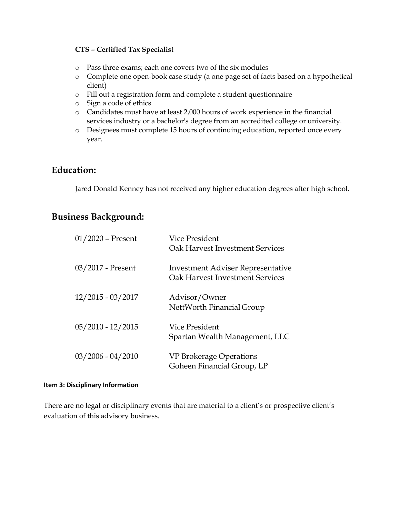### **CTS – Certified Tax Specialist**

- o Pass three exams; each one covers two of the six modules
- o Complete one open-book case study (a one page set of facts based on a hypothetical client)
- o Fill out a registration form and complete a student questionnaire
- o Sign a code of ethics
- o Candidates must have at least 2,000 hours of work experience in the financial services industry or a bachelor's degree from an accredited college or university.
- o Designees must complete 15 hours of continuing education, reported once every year.

### **Education:**

Jared Donald Kenney has not received any higher education degrees after high school.

### **Business Background:**

| $01/2020$ – Present | Vice President<br>Oak Harvest Investment Services                           |
|---------------------|-----------------------------------------------------------------------------|
| 03/2017 - Present   | <b>Investment Adviser Representative</b><br>Oak Harvest Investment Services |
| $12/2015 - 03/2017$ | Advisor/Owner<br>NettWorth Financial Group                                  |
| $05/2010 - 12/2015$ | Vice President<br>Spartan Wealth Management, LLC                            |
| $03/2006 - 04/2010$ | VP Brokerage Operations<br>Goheen Financial Group, LP                       |

#### **Item 3: Disciplinary Information**

There are no legal or disciplinary events that are material to a client's or prospective client's evaluation of this advisory business.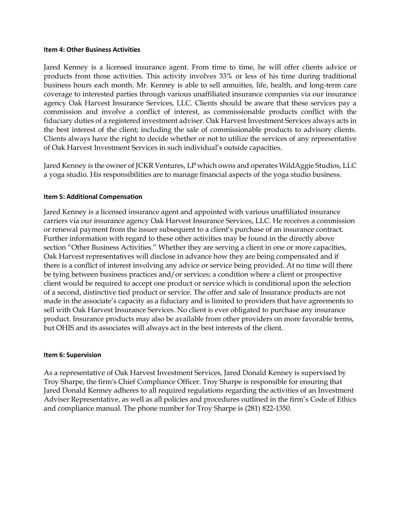#### **Item 4: Other Business Activities**

Jared Kenney is a licensed insurance agent. From time to time, he will offer clients advice or products from those activities. This activity involves 33% or less of his time during traditional business hours each month. Mr. Kenney is able to sell annuities, life, health, and long-term care coverage to interested parties through various unaffiliated insurance companies via our insurance agency Oak Harvest Insurance Services, LLC. Clients should be aware that these services pay a commission and involve a conflict of interest, as commissionable products conflict with the fiduciary duties of a registered investment adviser. Oak Harvest Investment Services always acts in the best interest of the client; including the sale of commissionable products to advisory clients. Clients always have the right to decide whether or not to utilize the services of any representative of Oak Harvest Investment Services in such individual's outside capacities.

Jared Kenney is the owner of JCKR Ventures, LP which owns and operates WildAggie Studios, LLC a yoga studio. His responsibilities are to manage financial aspects of the yoga studio business.

#### **Item 5: Additional Compensation**

Jared Kenney is a licensed insurance agent and appointed with various unaffiliated insurance carriers via our insurance agency Oak Harvest Insurance Services, LLC. He receives a commission or renewal payment from the issuer subsequent to a client's purchase of an insurance contract. Further information with regard to these other activities may be found in the directly above section "Other Business Activities." Whether they are serving a client in one or more capacities, Oak Harvest representatives will disclose in advance how they are being compensated and if there is a conflict of interest involving any advice or service being provided. At no time will there be tying between business practices and/or services; a condition where a client or prospective client would be required to accept one product or service which is conditional upon the selection of a second, distinctive tied product or service. The offer and sale of Insurance products are not made in the associate's capacity as a fiduciary and is limited to providers that have agreements to sell with Oak Harvest Insurance Services. No client is ever obligated to purchase any insurance product. Insurance products may also be available from other providers on more favorable terms, but OHIS and its associates will always act in the best interests of the client.

#### **Item 6: Supervision**

As a representative of Oak Harvest Investment Services, Jared Donald Kenney is supervised by Troy Sharpe, the firm's Chief Compliance Officer. Troy Sharpe is responsible for ensuring that Jared Donald Kenney adheres to all required regulations regarding the activities of an Investment Adviser Representative, as well as all policies and procedures outlined in the firm's Code of Ethics and compliance manual. The phone number for Troy Sharpe is (281) 822-1350.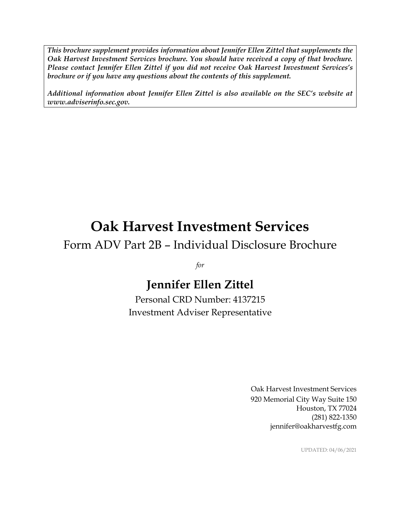*This brochure supplement provides information about Jennifer Ellen Zittel that supplements the Oak Harvest Investment Services brochure. You should have received a copy of that brochure. Please contact Jennifer Ellen Zittel if you did not receive Oak Harvest Investment Services's brochure or if you have any questions about the contents of this supplement.*

*Additional information about Jennifer Ellen Zittel is also available on the SEC's website at www.adviserinfo.sec.gov.*

# **Oak Harvest Investment Services**

## Form ADV Part 2B – Individual Disclosure Brochure

*for*

# **Jennifer Ellen Zittel**

Personal CRD Number: 4137215 Investment Adviser Representative

> Oak Harvest Investment Services 920 Memorial City Way Suite 150 Houston, TX 77024 (281) 822-1350 jennifer@oakharvestfg.com

> > UPDATED: 04/06/2021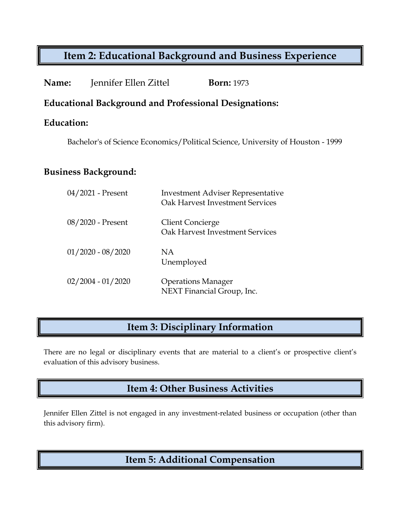| Name: | Jennifer Ellen Zittel | <b>Born:</b> 1973 |
|-------|-----------------------|-------------------|
|-------|-----------------------|-------------------|

### **Educational Background and Professional Designations:**

### **Education:**

Bachelor's of Science Economics/Political Science, University of Houston - 1999

### **Business Background:**

| 04/2021 - Present   | <b>Investment Adviser Representative</b><br>Oak Harvest Investment Services |
|---------------------|-----------------------------------------------------------------------------|
| 08/2020 - Present   | <b>Client Concierge</b><br>Oak Harvest Investment Services                  |
| $01/2020 - 08/2020$ | NA.<br>Unemployed                                                           |
| $02/2004 - 01/2020$ | <b>Operations Manager</b><br>NEXT Financial Group, Inc.                     |

## **Item 3: Disciplinary Information**

There are no legal or disciplinary events that are material to a client's or prospective client's evaluation of this advisory business.

## **Item 4: Other Business Activities**

Jennifer Ellen Zittel is not engaged in any investment-related business or occupation (other than this advisory firm).

## **Item 5: Additional Compensation**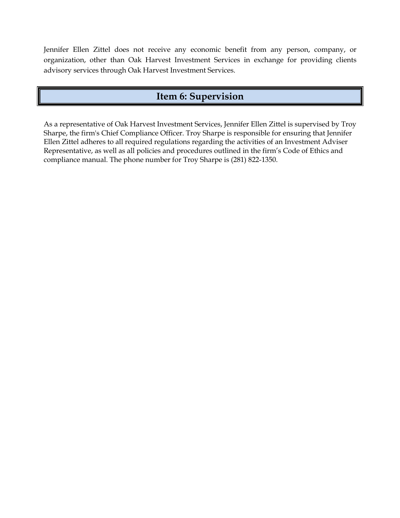Jennifer Ellen Zittel does not receive any economic benefit from any person, company, or organization, other than Oak Harvest Investment Services in exchange for providing clients advisory services through Oak Harvest Investment Services.

## **Item 6: Supervision**

As a representative of Oak Harvest Investment Services, Jennifer Ellen Zittel is supervised by Troy Sharpe, the firm's Chief Compliance Officer. Troy Sharpe is responsible for ensuring that Jennifer Ellen Zittel adheres to all required regulations regarding the activities of an Investment Adviser Representative, as well as all policies and procedures outlined in the firm's Code of Ethics and compliance manual. The phone number for Troy Sharpe is (281) 822-1350.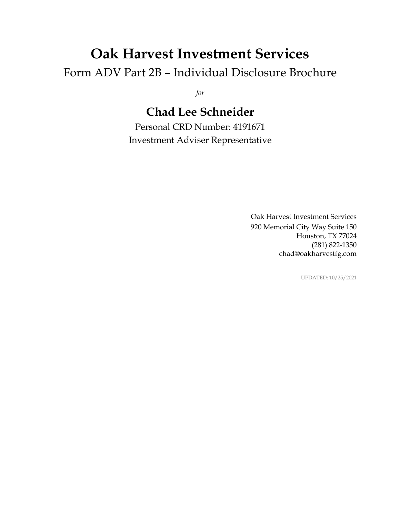# **Oak Harvest Investment Services**

Form ADV Part 2B – Individual Disclosure Brochure

*for*

# **Chad Lee Schneider**

Personal CRD Number: 4191671 Investment Adviser Representative

> Oak Harvest Investment Services 920 Memorial City Way Suite 150 Houston, TX 77024 (281) 822-1350 chad@oakharvestfg.com

> > UPDATED: 10/25/2021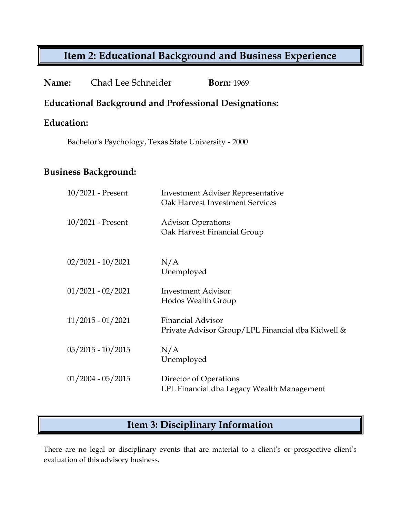| Chad Lee Schneider<br>Name:                          | <b>Born: 1969</b>                                                                  |  |
|------------------------------------------------------|------------------------------------------------------------------------------------|--|
|                                                      | <b>Educational Background and Professional Designations:</b>                       |  |
| <b>Education:</b>                                    |                                                                                    |  |
| Bachelor's Psychology, Texas State University - 2000 |                                                                                    |  |
| <b>Business Background:</b>                          |                                                                                    |  |
| 10/2021 - Present                                    | <b>Investment Adviser Representative</b><br><b>Oak Harvest Investment Services</b> |  |
| 10/2021 - Present                                    | <b>Advisor Operations</b><br>Oak Harvest Financial Group                           |  |
| $02/2021 - 10/2021$                                  | N/A<br>Unemployed                                                                  |  |
| $01/2021 - 02/2021$                                  | <b>Investment Advisor</b><br>Hodos Wealth Group                                    |  |
| $11/2015 - 01/2021$                                  | <b>Financial Advisor</b><br>Private Advisor Group/LPL Financial dba Kidwell &      |  |
| $05/2015 - 10/2015$                                  | N/A<br>Unemployed                                                                  |  |
| $01/2004 - 05/2015$                                  | Director of Operations<br>LPL Financial dba Legacy Wealth Management               |  |

# **Item 3: Disciplinary Information**

There are no legal or disciplinary events that are material to a client's or prospective client's evaluation of this advisory business.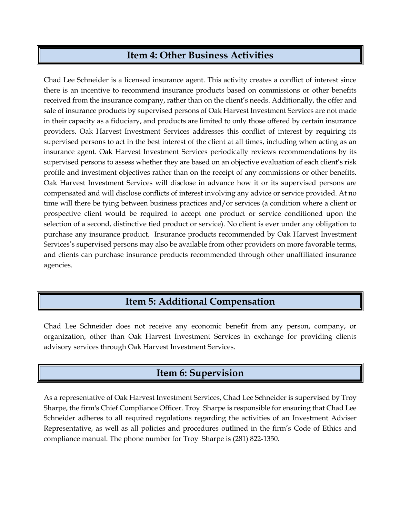## **Item 4: Other Business Activities**

Chad Lee Schneider is a licensed insurance agent. This activity creates a conflict of interest since there is an incentive to recommend insurance products based on commissions or other benefits received from the insurance company, rather than on the client's needs. Additionally, the offer and sale of insurance products by supervised persons of Oak Harvest Investment Services are not made in their capacity as a fiduciary, and products are limited to only those offered by certain insurance providers. Oak Harvest Investment Services addresses this conflict of interest by requiring its supervised persons to act in the best interest of the client at all times, including when acting as an insurance agent. Oak Harvest Investment Services periodically reviews recommendations by its supervised persons to assess whether they are based on an objective evaluation of each client's risk profile and investment objectives rather than on the receipt of any commissions or other benefits. Oak Harvest Investment Services will disclose in advance how it or its supervised persons are compensated and will disclose conflicts of interest involving any advice or service provided. At no time will there be tying between business practices and/or services (a condition where a client or prospective client would be required to accept one product or service conditioned upon the selection of a second, distinctive tied product or service). No client is ever under any obligation to purchase any insurance product. Insurance products recommended by Oak Harvest Investment Services's supervised persons may also be available from other providers on more favorable terms, and clients can purchase insurance products recommended through other unaffiliated insurance agencies.

## **Item 5: Additional Compensation**

Chad Lee Schneider does not receive any economic benefit from any person, company, or organization, other than Oak Harvest Investment Services in exchange for providing clients advisory services through Oak Harvest Investment Services.

## **Item 6: Supervision**

As a representative of Oak Harvest Investment Services, Chad Lee Schneider is supervised by Troy Sharpe, the firm's Chief Compliance Officer. Troy Sharpe is responsible for ensuring that Chad Lee Schneider adheres to all required regulations regarding the activities of an Investment Adviser Representative, as well as all policies and procedures outlined in the firm's Code of Ethics and compliance manual. The phone number for Troy Sharpe is (281) 822-1350.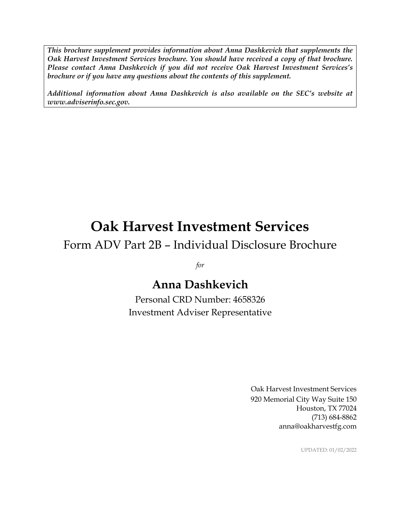*This brochure supplement provides information about Anna Dashkevich that supplements the Oak Harvest Investment Services brochure. You should have received a copy of that brochure. Please contact Anna Dashkevich if you did not receive Oak Harvest Investment Services's brochure or if you have any questions about the contents of this supplement.*

*Additional information about Anna Dashkevich is also available on the SEC's website at www.adviserinfo.sec.gov.*

# **Oak Harvest Investment Services**

# Form ADV Part 2B – Individual Disclosure Brochure

*for*

# **Anna Dashkevich**

Personal CRD Number: 4658326 Investment Adviser Representative

> Oak Harvest Investment Services 920 Memorial City Way Suite 150 Houston, TX 77024 (713) 684-8862 anna@oakharvestfg.com

> > UPDATED: 01/02/2022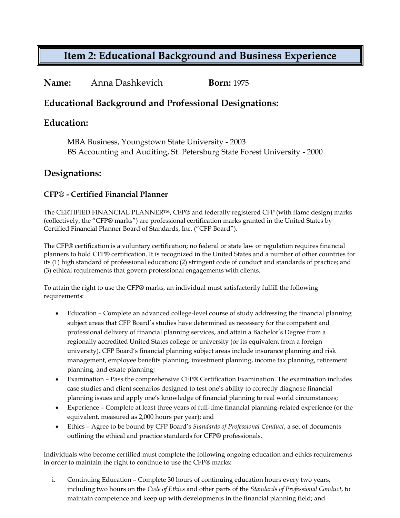### **Name:** Anna Dashkevich **Born:** 1975

### **Educational Background and Professional Designations:**

### **Education:**

MBA Business, Youngstown State University - 2003 BS Accounting and Auditing, St. Petersburg State Forest University - 2000

### **Designations:**

### **CFP® - Certified Financial Planner**

The CERTIFIED FINANCIAL PLANNER™, CFP® and federally registered CFP (with flame design) marks (collectively, the "CFP® marks") are professional certification marks granted in the United States by Certified Financial Planner Board of Standards, Inc. ("CFP Board").

The CFP® certification is a voluntary certification; no federal or state law or regulation requires financial planners to hold CFP® certification. It is recognized in the United States and a number of other countries for its (1) high standard of professional education; (2) stringent code of conduct and standards of practice; and (3) ethical requirements that govern professional engagements with clients.

To attain the right to use the CFP® marks, an individual must satisfactorily fulfill the following requirements:

- Education Complete an advanced college-level course of study addressing the financial planning subject areas that CFP Board's studies have determined as necessary for the competent and professional delivery of financial planning services, and attain a Bachelor's Degree from a regionally accredited United States college or university (or its equivalent from a foreign university). CFP Board's financial planning subject areas include insurance planning and risk management, employee benefits planning, investment planning, income tax planning, retirement planning, and estate planning;
- Examination Pass the comprehensive CFP® Certification Examination. The examination includes case studies and client scenarios designed to test one's ability to correctly diagnose financial planning issues and apply one's knowledge of financial planning to real world circumstances;
- Experience Complete at least three years of full-time financial planning-related experience (or the equivalent, measured as 2,000 hours per year); and
- Ethics Agree to be bound by CFP Board's *Standards of Professional Conduct*, a set of documents outlining the ethical and practice standards for CFP® professionals.

Individuals who become certified must complete the following ongoing education and ethics requirements in order to maintain the right to continue to use the CFP® marks:

i. Continuing Education – Complete 30 hours of continuing education hours every two years, including two hours on the *Code of Ethics* and other parts of the *Standards of Professional Conduct*, to maintain competence and keep up with developments in the financial planning field; and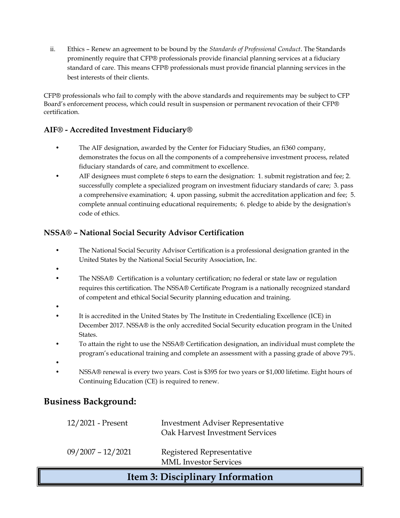ii. Ethics – Renew an agreement to be bound by the *Standards of Professional Conduct*. The Standards prominently require that CFP® professionals provide financial planning services at a fiduciary standard of care. This means CFP® professionals must provide financial planning services in the best interests of their clients.

CFP® professionals who fail to comply with the above standards and requirements may be subject to CFP Board's enforcement process, which could result in suspension or permanent revocation of their CFP® certification.

### **AIF® - Accredited Investment Fiduciary®**

- The AIF designation, awarded by the Center for Fiduciary Studies, an fi360 company, demonstrates the focus on all the components of a comprehensive investment process, related fiduciary standards of care, and commitment to excellence.
- AIF designees must complete 6 steps to earn the designation: 1. submit registration and fee; 2. successfully complete a specialized program on investment fiduciary standards of care; 3. pass a comprehensive examination; 4. upon passing, submit the accreditation application and fee; 5. complete annual continuing educational requirements; 6. pledge to abide by the designation's code of ethics.

### **NSSA® – National Social Security Advisor Certification**

- The National Social Security Advisor Certification is a professional designation granted in the United States by the National Social Security Association, Inc.
- •
- The NSSA® Certification is a voluntary certification; no federal or state law or regulation requires this certification. The NSSA® Certificate Program is a nationally recognized standard of competent and ethical Social Security planning education and training.
- •
- It is accredited in the United States by The Institute in Credentialing Excellence (ICE) in December 2017. NSSA® is the only accredited Social Security education program in the United States.
- To attain the right to use the NSSA® Certification designation, an individual must complete the program's educational training and complete an assessment with a passing grade of above 79%.
- - NSSA® renewal is every two years. Cost is \$395 for two years or \$1,000 lifetime. Eight hours of Continuing Education (CE) is required to renew.

### **Business Background:**

| 12/2021 - Present   | <b>Investment Adviser Representative</b><br>Oak Harvest Investment Services |
|---------------------|-----------------------------------------------------------------------------|
| $09/2007 - 12/2021$ | Registered Representative<br><b>MML</b> Investor Services                   |

## **Item 3: Disciplinary Information**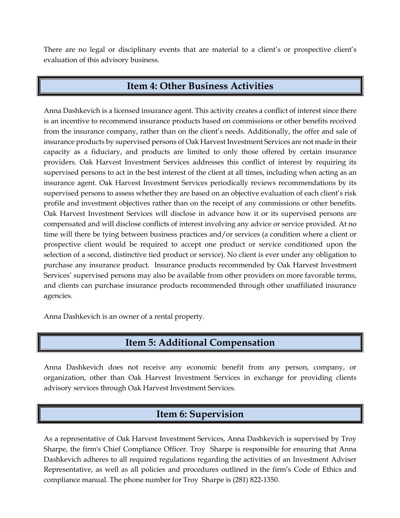There are no legal or disciplinary events that are material to a client's or prospective client's evaluation of this advisory business.

## **Item 4: Other Business Activities**

Anna Dashkevich is a licensed insurance agent. This activity creates a conflict of interest since there is an incentive to recommend insurance products based on commissions or other benefits received from the insurance company, rather than on the client's needs. Additionally, the offer and sale of insurance products by supervised persons of Oak Harvest Investment Services are not made in their capacity as a fiduciary, and products are limited to only those offered by certain insurance providers. Oak Harvest Investment Services addresses this conflict of interest by requiring its supervised persons to act in the best interest of the client at all times, including when acting as an insurance agent. Oak Harvest Investment Services periodically reviews recommendations by its supervised persons to assess whether they are based on an objective evaluation of each client's risk profile and investment objectives rather than on the receipt of any commissions or other benefits. Oak Harvest Investment Services will disclose in advance how it or its supervised persons are compensated and will disclose conflicts of interest involving any advice or service provided. At no time will there be tying between business practices and/or services (a condition where a client or prospective client would be required to accept one product or service conditioned upon the selection of a second, distinctive tied product or service). No client is ever under any obligation to purchase any insurance product. Insurance products recommended by Oak Harvest Investment Services' supervised persons may also be available from other providers on more favorable terms, and clients can purchase insurance products recommended through other unaffiliated insurance agencies.

Anna Dashkevich is an owner of a rental property.

## **Item 5: Additional Compensation**

Anna Dashkevich does not receive any economic benefit from any person, company, or organization, other than Oak Harvest Investment Services in exchange for providing clients advisory services through Oak Harvest Investment Services.

## **Item 6: Supervision**

As a representative of Oak Harvest Investment Services, Anna Dashkevich is supervised by Troy Sharpe, the firm's Chief Compliance Officer. Troy Sharpe is responsible for ensuring that Anna Dashkevich adheres to all required regulations regarding the activities of an Investment Adviser Representative, as well as all policies and procedures outlined in the firm's Code of Ethics and compliance manual. The phone number for Troy Sharpe is (281) 822-1350.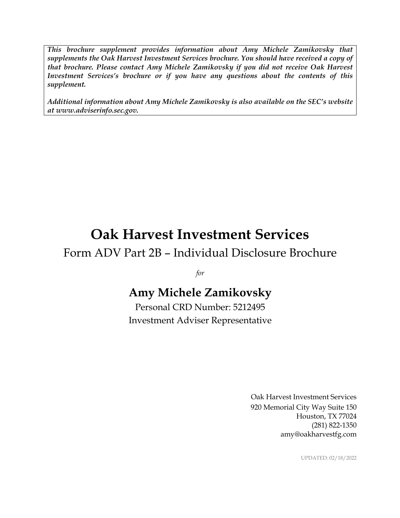*This brochure supplement provides information about Amy Michele Zamikovsky that supplements the Oak Harvest Investment Services brochure. You should have received a copy of that brochure. Please contact Amy Michele Zamikovsky if you did not receive Oak Harvest Investment Services's brochure or if you have any questions about the contents of this supplement.*

*Additional information about Amy Michele Zamikovsky is also available on the SEC's website at www.adviserinfo.sec.gov.*

# **Oak Harvest Investment Services**

# Form ADV Part 2B – Individual Disclosure Brochure

*for*

# **Amy Michele Zamikovsky**

Personal CRD Number: 5212495 Investment Adviser Representative

> Oak Harvest Investment Services 920 Memorial City Way Suite 150 Houston, TX 77024 (281) 822-1350 amy@oakharvestfg.com

> > UPDATED: 02/18/2022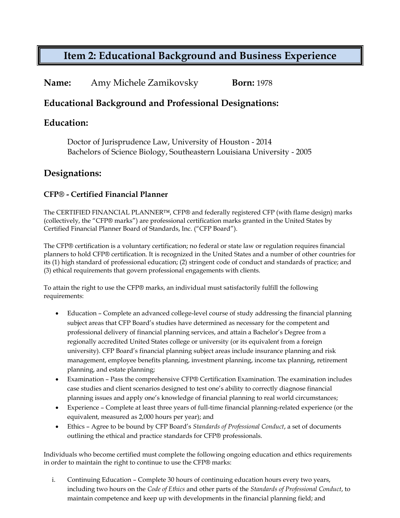**Name:** Amy Michele Zamikovsky **Born:** 1978

### **Educational Background and Professional Designations:**

### **Education:**

Doctor of Jurisprudence Law, University of Houston - 2014 Bachelors of Science Biology, Southeastern Louisiana University - 2005

### **Designations:**

### **CFP® - Certified Financial Planner**

The CERTIFIED FINANCIAL PLANNER™, CFP® and federally registered CFP (with flame design) marks (collectively, the "CFP® marks") are professional certification marks granted in the United States by Certified Financial Planner Board of Standards, Inc. ("CFP Board").

The CFP® certification is a voluntary certification; no federal or state law or regulation requires financial planners to hold CFP® certification. It is recognized in the United States and a number of other countries for its (1) high standard of professional education; (2) stringent code of conduct and standards of practice; and (3) ethical requirements that govern professional engagements with clients.

To attain the right to use the CFP® marks, an individual must satisfactorily fulfill the following requirements:

- Education Complete an advanced college-level course of study addressing the financial planning subject areas that CFP Board's studies have determined as necessary for the competent and professional delivery of financial planning services, and attain a Bachelor's Degree from a regionally accredited United States college or university (or its equivalent from a foreign university). CFP Board's financial planning subject areas include insurance planning and risk management, employee benefits planning, investment planning, income tax planning, retirement planning, and estate planning;
- Examination Pass the comprehensive CFP® Certification Examination. The examination includes case studies and client scenarios designed to test one's ability to correctly diagnose financial planning issues and apply one's knowledge of financial planning to real world circumstances;
- Experience Complete at least three years of full-time financial planning-related experience (or the equivalent, measured as 2,000 hours per year); and
- Ethics Agree to be bound by CFP Board's *Standards of Professional Conduct*, a set of documents outlining the ethical and practice standards for CFP® professionals.

Individuals who become certified must complete the following ongoing education and ethics requirements in order to maintain the right to continue to use the CFP® marks:

i. Continuing Education – Complete 30 hours of continuing education hours every two years, including two hours on the *Code of Ethics* and other parts of the *Standards of Professional Conduct*, to maintain competence and keep up with developments in the financial planning field; and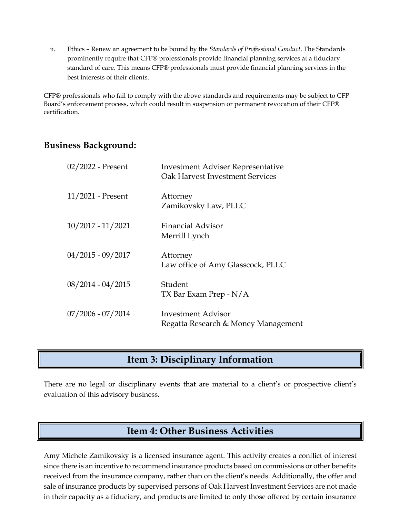ii. Ethics – Renew an agreement to be bound by the *Standards of Professional Conduct*. The Standards prominently require that CFP® professionals provide financial planning services at a fiduciary standard of care. This means CFP® professionals must provide financial planning services in the best interests of their clients.

CFP® professionals who fail to comply with the above standards and requirements may be subject to CFP Board's enforcement process, which could result in suspension or permanent revocation of their CFP® certification.

### **Business Background:**

| 02/2022 - Present   | <b>Investment Adviser Representative</b><br>Oak Harvest Investment Services |
|---------------------|-----------------------------------------------------------------------------|
| $11/2021$ - Present | Attorney<br>Zamikovsky Law, PLLC                                            |
| $10/2017 - 11/2021$ | <b>Financial Advisor</b><br>Merrill Lynch                                   |
| $04/2015 - 09/2017$ | Attorney<br>Law office of Amy Glasscock, PLLC                               |
| $08/2014 - 04/2015$ | Student<br>TX Bar Exam Prep - N/A                                           |
| $07/2006 - 07/2014$ | Investment Advisor<br>Regatta Research & Money Management                   |

## **Item 3: Disciplinary Information**

There are no legal or disciplinary events that are material to a client's or prospective client's evaluation of this advisory business.

## **Item 4: Other Business Activities**

Amy Michele Zamikovsky is a licensed insurance agent. This activity creates a conflict of interest since there is an incentive to recommend insurance products based on commissions or other benefits received from the insurance company, rather than on the client's needs. Additionally, the offer and sale of insurance products by supervised persons of Oak Harvest Investment Services are not made in their capacity as a fiduciary, and products are limited to only those offered by certain insurance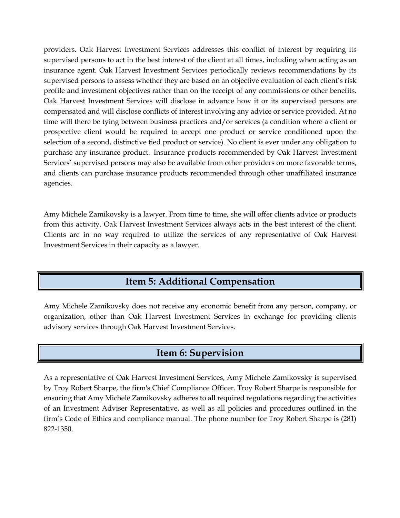providers. Oak Harvest Investment Services addresses this conflict of interest by requiring its supervised persons to act in the best interest of the client at all times, including when acting as an insurance agent. Oak Harvest Investment Services periodically reviews recommendations by its supervised persons to assess whether they are based on an objective evaluation of each client's risk profile and investment objectives rather than on the receipt of any commissions or other benefits. Oak Harvest Investment Services will disclose in advance how it or its supervised persons are compensated and will disclose conflicts of interest involving any advice or service provided. At no time will there be tying between business practices and/or services (a condition where a client or prospective client would be required to accept one product or service conditioned upon the selection of a second, distinctive tied product or service). No client is ever under any obligation to purchase any insurance product. Insurance products recommended by Oak Harvest Investment Services' supervised persons may also be available from other providers on more favorable terms, and clients can purchase insurance products recommended through other unaffiliated insurance agencies.

Amy Michele Zamikovsky is a lawyer. From time to time, she will offer clients advice or products from this activity. Oak Harvest Investment Services always acts in the best interest of the client. Clients are in no way required to utilize the services of any representative of Oak Harvest Investment Services in their capacity as a lawyer.

## **Item 5: Additional Compensation**

Amy Michele Zamikovsky does not receive any economic benefit from any person, company, or organization, other than Oak Harvest Investment Services in exchange for providing clients advisory services through Oak Harvest Investment Services.

## **Item 6: Supervision**

As a representative of Oak Harvest Investment Services, Amy Michele Zamikovsky is supervised by Troy Robert Sharpe, the firm's Chief Compliance Officer. Troy Robert Sharpe is responsible for ensuring that Amy Michele Zamikovsky adheres to all required regulations regarding the activities of an Investment Adviser Representative, as well as all policies and procedures outlined in the firm's Code of Ethics and compliance manual. The phone number for Troy Robert Sharpe is (281) 822-1350.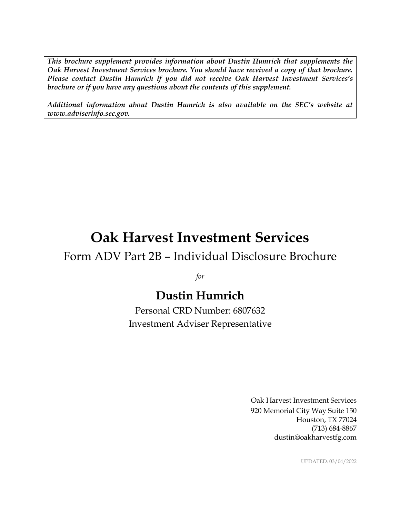*This brochure supplement provides information about Dustin Humrich that supplements the Oak Harvest Investment Services brochure. You should have received a copy of that brochure. Please contact Dustin Humrich if you did not receive Oak Harvest Investment Services's brochure or if you have any questions about the contents of this supplement.*

*Additional information about Dustin Humrich is also available on the SEC's website at www.adviserinfo.sec.gov.*

# **Oak Harvest Investment Services**

## Form ADV Part 2B – Individual Disclosure Brochure

*for*

# **Dustin Humrich**

Personal CRD Number: 6807632 Investment Adviser Representative

> Oak Harvest Investment Services 920 Memorial City Way Suite 150 Houston, TX 77024 (713) 684-8867 dustin@oakharvestfg.com

> > UPDATED: 03/04/2022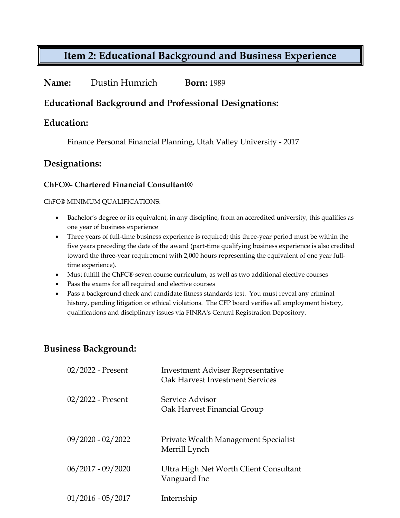### **Name:** Dustin Humrich **Born:** 1989

### **Educational Background and Professional Designations:**

### **Education:**

Finance Personal Financial Planning, Utah Valley University - 2017

### **Designations:**

### **ChFC®- Chartered Financial Consultant®**

#### ChFC® MINIMUM QUALIFICATIONS:

- Bachelor's degree or its equivalent, in any discipline, from an accredited university, this qualifies as one year of business experience
- Three years of full-time business experience is required; this three-year period must be within the five years preceding the date of the award (part-time qualifying business experience is also credited toward the three-year requirement with 2,000 hours representing the equivalent of one year fulltime experience).
- Must fulfill the ChFC® seven course curriculum, as well as two additional elective courses
- Pass the exams for all required and elective courses
- Pass a background check and candidate fitness standards test. You must reveal any criminal history, pending litigation or ethical violations. The CFP board verifies all employment history, qualifications and disciplinary issues via FINRA's Central Registration Depository.

## **Business Background:**

| $02/2022$ - Present | Investment Adviser Representative<br>Oak Harvest Investment Services |
|---------------------|----------------------------------------------------------------------|
| $02/2022$ - Present | Service Advisor<br>Oak Harvest Financial Group                       |
| $09/2020 - 02/2022$ | Private Wealth Management Specialist<br>Merrill Lynch                |
| $06/2017 - 09/2020$ | Ultra High Net Worth Client Consultant<br>Vanguard Inc               |
| $01/2016 - 05/2017$ | Internship                                                           |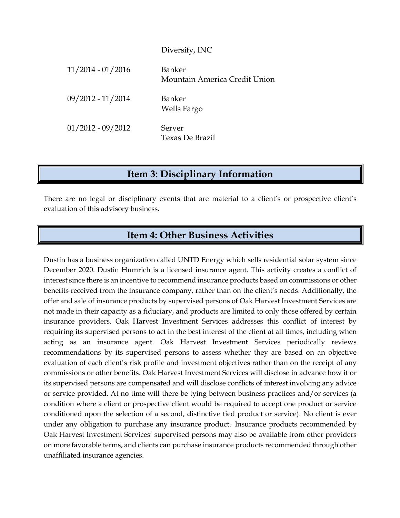# Diversify, INC 11/2014 - 01/2016 Banker Mountain America Credit Union 09/2012 - 11/2014 Banker Wells Fargo 01/2012 - 09/2012 Server Texas De Brazil

## **Item 3: Disciplinary Information**

There are no legal or disciplinary events that are material to a client's or prospective client's evaluation of this advisory business.

## **Item 4: Other Business Activities**

Dustin has a business organization called UNTD Energy which sells residential solar system since December 2020. Dustin Humrich is a licensed insurance agent. This activity creates a conflict of interest since there is an incentive to recommend insurance products based on commissions or other benefits received from the insurance company, rather than on the client's needs. Additionally, the offer and sale of insurance products by supervised persons of Oak Harvest Investment Services are not made in their capacity as a fiduciary, and products are limited to only those offered by certain insurance providers. Oak Harvest Investment Services addresses this conflict of interest by requiring its supervised persons to act in the best interest of the client at all times, including when acting as an insurance agent. Oak Harvest Investment Services periodically reviews recommendations by its supervised persons to assess whether they are based on an objective evaluation of each client's risk profile and investment objectives rather than on the receipt of any commissions or other benefits. Oak Harvest Investment Services will disclose in advance how it or its supervised persons are compensated and will disclose conflicts of interest involving any advice or service provided. At no time will there be tying between business practices and/or services (a condition where a client or prospective client would be required to accept one product or service conditioned upon the selection of a second, distinctive tied product or service). No client is ever under any obligation to purchase any insurance product. Insurance products recommended by Oak Harvest Investment Services' supervised persons may also be available from other providers on more favorable terms, and clients can purchase insurance products recommended through other unaffiliated insurance agencies.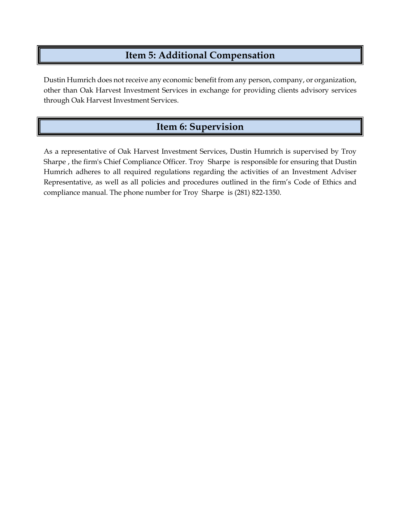## **Item 5: Additional Compensation**

Dustin Humrich does not receive any economic benefit from any person, company, or organization, other than Oak Harvest Investment Services in exchange for providing clients advisory services through Oak Harvest Investment Services.

## **Item 6: Supervision**

As a representative of Oak Harvest Investment Services, Dustin Humrich is supervised by Troy Sharpe , the firm's Chief Compliance Officer. Troy Sharpe is responsible for ensuring that Dustin Humrich adheres to all required regulations regarding the activities of an Investment Adviser Representative, as well as all policies and procedures outlined in the firm's Code of Ethics and compliance manual. The phone number for Troy Sharpe is (281) 822-1350.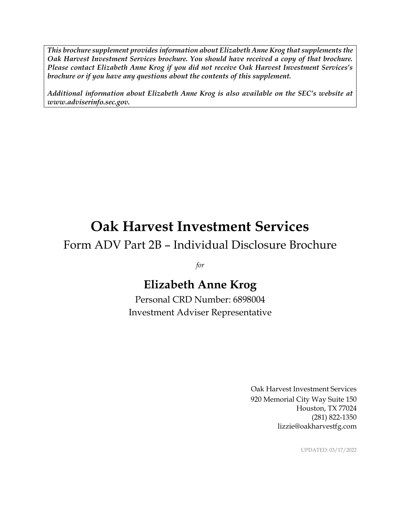*This brochure supplement provides information about Elizabeth Anne Krog that supplements the Oak Harvest Investment Services brochure. You should have received a copy of that brochure. Please contact Elizabeth Anne Krog if you did not receive Oak Harvest Investment Services's brochure or if you have any questions about the contents of this supplement.*

*Additional information about Elizabeth Anne Krog is also available on the SEC's website at www.adviserinfo.sec.gov.*

# **Oak Harvest Investment Services**

# Form ADV Part 2B – Individual Disclosure Brochure

*for*

# **Elizabeth Anne Krog**

Personal CRD Number: 6898004 Investment Adviser Representative

> Oak Harvest Investment Services 920 Memorial City Way Suite 150 Houston, TX 77024 (281) 822-1350 lizzie@oakharvestfg.com

> > UPDATED: 03/17/2022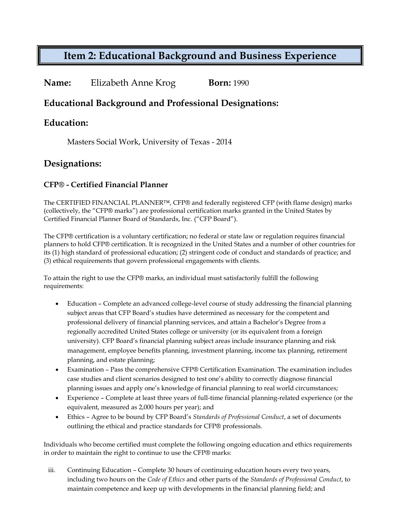| Name: | Elizabeth Anne Krog | <b>Born:</b> 1990 |
|-------|---------------------|-------------------|
|-------|---------------------|-------------------|

### **Educational Background and Professional Designations:**

### **Education:**

Masters Social Work, University of Texas - 2014

### **Designations:**

### **CFP® - Certified Financial Planner**

The CERTIFIED FINANCIAL PLANNER™, CFP® and federally registered CFP (with flame design) marks (collectively, the "CFP® marks") are professional certification marks granted in the United States by Certified Financial Planner Board of Standards, Inc. ("CFP Board").

The CFP® certification is a voluntary certification; no federal or state law or regulation requires financial planners to hold CFP® certification. It is recognized in the United States and a number of other countries for its (1) high standard of professional education; (2) stringent code of conduct and standards of practice; and (3) ethical requirements that govern professional engagements with clients.

To attain the right to use the CFP® marks, an individual must satisfactorily fulfill the following requirements:

- Education Complete an advanced college-level course of study addressing the financial planning subject areas that CFP Board's studies have determined as necessary for the competent and professional delivery of financial planning services, and attain a Bachelor's Degree from a regionally accredited United States college or university (or its equivalent from a foreign university). CFP Board's financial planning subject areas include insurance planning and risk management, employee benefits planning, investment planning, income tax planning, retirement planning, and estate planning;
- Examination Pass the comprehensive CFP® Certification Examination. The examination includes case studies and client scenarios designed to test one's ability to correctly diagnose financial planning issues and apply one's knowledge of financial planning to real world circumstances;
- Experience Complete at least three years of full-time financial planning-related experience (or the equivalent, measured as 2,000 hours per year); and
- Ethics Agree to be bound by CFP Board's *Standards of Professional Conduct*, a set of documents outlining the ethical and practice standards for CFP® professionals.

Individuals who become certified must complete the following ongoing education and ethics requirements in order to maintain the right to continue to use the CFP® marks:

iii. Continuing Education – Complete 30 hours of continuing education hours every two years, including two hours on the *Code of Ethics* and other parts of the *Standards of Professional Conduct*, to maintain competence and keep up with developments in the financial planning field; and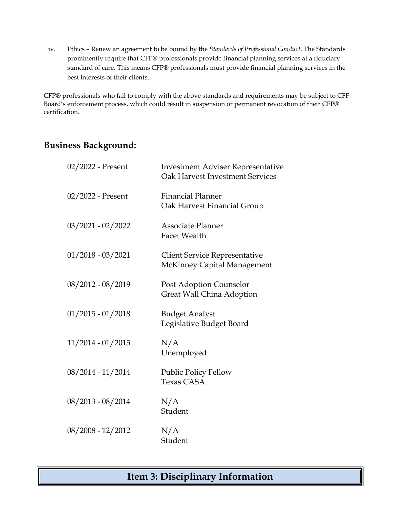iv. Ethics – Renew an agreement to be bound by the *Standards of Professional Conduct*. The Standards prominently require that CFP® professionals provide financial planning services at a fiduciary standard of care. This means CFP® professionals must provide financial planning services in the best interests of their clients.

CFP® professionals who fail to comply with the above standards and requirements may be subject to CFP Board's enforcement process, which could result in suspension or permanent revocation of their CFP® certification.

### **Business Background:**

| 02/2022 - Present   | <b>Investment Adviser Representative</b><br><b>Oak Harvest Investment Services</b> |
|---------------------|------------------------------------------------------------------------------------|
| 02/2022 - Present   | <b>Financial Planner</b><br>Oak Harvest Financial Group                            |
| $03/2021 - 02/2022$ | Associate Planner<br><b>Facet Wealth</b>                                           |
| $01/2018 - 03/2021$ | <b>Client Service Representative</b><br>McKinney Capital Management                |
| 08/2012 - 08/2019   | Post Adoption Counselor<br>Great Wall China Adoption                               |
| $01/2015 - 01/2018$ | <b>Budget Analyst</b><br>Legislative Budget Board                                  |
| $11/2014 - 01/2015$ | N/A<br>Unemployed                                                                  |
| 08/2014 - 11/2014   | <b>Public Policy Fellow</b><br><b>Texas CASA</b>                                   |
| 08/2013 - 08/2014   | N/A<br>Student                                                                     |
| $08/2008 - 12/2012$ | N/A<br>Student                                                                     |

## **Item 3: Disciplinary Information**